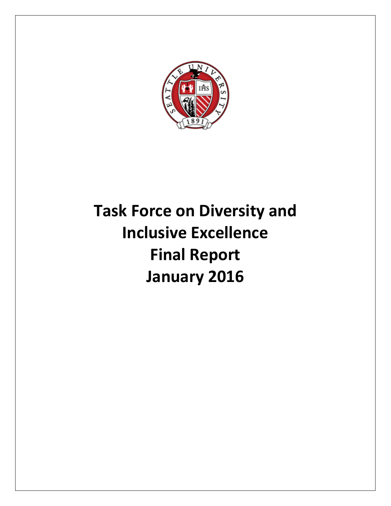

# **Task Force on Diversity and Inclusive Excellence Final Report January 2016**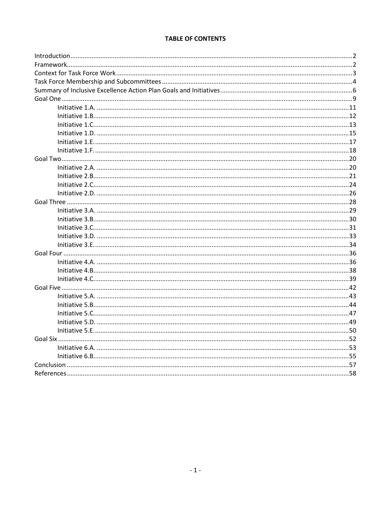# **TABLE OF CONTENTS**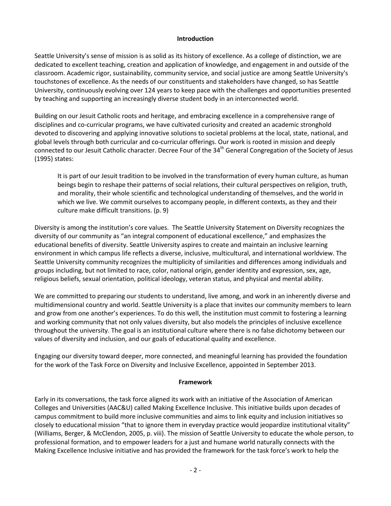#### **Introduction**

Seattle University's sense of mission is as solid as its history of excellence. As a college of distinction, we are dedicated to excellent teaching, creation and application of knowledge, and engagement in and outside of the classroom. Academic rigor, sustainability, community service, and social justice are among Seattle University's touchstones of excellence. As the needs of our constituents and stakeholders have changed, so has Seattle University, continuously evolving over 124 years to keep pace with the challenges and opportunities presented by teaching and supporting an increasingly diverse student body in an interconnected world.

Building on our Jesuit Catholic roots and heritage, and embracing excellence in a comprehensive range of disciplines and co-curricular programs, we have cultivated curiosity and created an academic stronghold devoted to discovering and applying innovative solutions to societal problems at the local, state, national, and global levels through both curricular and co-curricular offerings. Our work is rooted in mission and deeply connected to our Jesuit Catholic character. Decree Four of the 34<sup>th</sup> General Congregation of the Society of Jesus (1995) states:

It is part of our Jesuit tradition to be involved in the transformation of every human culture, as human beings begin to reshape their patterns of social relations, their cultural perspectives on religion, truth, and morality, their whole scientific and technological understanding of themselves, and the world in which we live. We commit ourselves to accompany people, in different contexts, as they and their culture make difficult transitions. (p. 9)

Diversity is among the institution's core values. The Seattle University Statement on Diversity recognizes the diversity of our community as "an integral component of educational excellence," and emphasizes the educational benefits of diversity. Seattle University aspires to create and maintain an inclusive learning environment in which campus life reflects a diverse, inclusive, multicultural, and international worldview. The Seattle University community recognizes the multiplicity of similarities and differences among individuals and groups including, but not limited to race, color, national origin, gender identity and expression, sex, age, religious beliefs, sexual orientation, political ideology, veteran status, and physical and mental ability.

We are committed to preparing our students to understand, live among, and work in an inherently diverse and multidimensional country and world. Seattle University is a place that invites our community members to learn and grow from one another's experiences. To do this well, the institution must commit to fostering a learning and working community that not only values diversity, but also models the principles of inclusive excellence throughout the university. The goal is an institutional culture where there is no false dichotomy between our values of diversity and inclusion, and our goals of educational quality and excellence.

Engaging our diversity toward deeper, more connected, and meaningful learning has provided the foundation for the work of the Task Force on Diversity and Inclusive Excellence, appointed in September 2013.

#### **Framework**

Early in its conversations, the task force aligned its work with an initiative of the Association of American Colleges and Universities (AAC&U) called Making Excellence Inclusive. This initiative builds upon decades of campus commitment to build more inclusive communities and aims to link equity and inclusion initiatives so closely to educational mission "that to ignore them in everyday practice would jeopardize institutional vitality" (Williams, Berger, & McClendon, 2005, p. viii). The mission of Seattle University to educate the whole person, to professional formation, and to empower leaders for a just and humane world naturally connects with the Making Excellence Inclusive initiative and has provided the framework for the task force's work to help the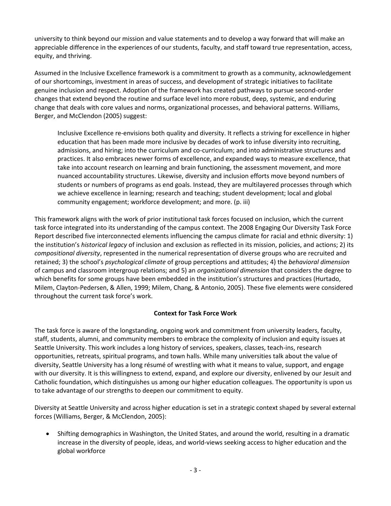university to think beyond our mission and value statements and to develop a way forward that will make an appreciable difference in the experiences of our students, faculty, and staff toward true representation, access, equity, and thriving.

Assumed in the Inclusive Excellence framework is a commitment to growth as a community, acknowledgement of our shortcomings, investment in areas of success, and development of strategic initiatives to facilitate genuine inclusion and respect. Adoption of the framework has created pathways to pursue second-order changes that extend beyond the routine and surface level into more robust, deep, systemic, and enduring change that deals with core values and norms, organizational processes, and behavioral patterns. Williams, Berger, and McClendon (2005) suggest:

Inclusive Excellence re-envisions both quality and diversity. It reflects a striving for excellence in higher education that has been made more inclusive by decades of work to infuse diversity into recruiting, admissions, and hiring; into the curriculum and co-curriculum; and into administrative structures and practices. It also embraces newer forms of excellence, and expanded ways to measure excellence, that take into account research on learning and brain functioning, the assessment movement, and more nuanced accountability structures. Likewise, diversity and inclusion efforts move beyond numbers of students or numbers of programs as end goals. Instead, they are multilayered processes through which we achieve excellence in learning; research and teaching; student development; local and global community engagement; workforce development; and more. (p. iii)

This framework aligns with the work of prior institutional task forces focused on inclusion, which the current task force integrated into its understanding of the campus context. The 2008 Engaging Our Diversity Task Force Report described five interconnected elements influencing the campus climate for racial and ethnic diversity: 1) the institution's *historical legacy* of inclusion and exclusion as reflected in its mission, policies, and actions; 2) its *compositional diversity*, represented in the numerical representation of diverse groups who are recruited and retained; 3) the school's *psychological climate* of group perceptions and attitudes; 4) the *behavioral dimension* of campus and classroom intergroup relations; and 5) an *organizational dimension* that considers the degree to which benefits for some groups have been embedded in the institution's structures and practices (Hurtado, Milem, Clayton-Pedersen, & Allen, 1999; Milem, Chang, & Antonio, 2005). These five elements were considered throughout the current task force's work.

# **Context for Task Force Work**

The task force is aware of the longstanding, ongoing work and commitment from university leaders, faculty, staff, students, alumni, and community members to embrace the complexity of inclusion and equity issues at Seattle University. This work includes a long history of services, speakers, classes, teach-ins, research opportunities, retreats, spiritual programs, and town halls. While many universities talk about the value of diversity, Seattle University has a long résumé of wrestling with what it means to value, support, and engage with our diversity. It is this willingness to extend, expand, and explore our diversity, enlivened by our Jesuit and Catholic foundation, which distinguishes us among our higher education colleagues. The opportunity is upon us to take advantage of our strengths to deepen our commitment to equity.

Diversity at Seattle University and across higher education is set in a strategic context shaped by several external forces (Williams, Berger, & McClendon, 2005):

 Shifting demographics in Washington, the United States, and around the world, resulting in a dramatic increase in the diversity of people, ideas, and world-views seeking access to higher education and the global workforce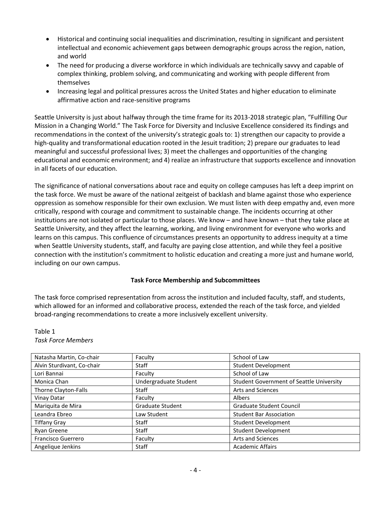- Historical and continuing social inequalities and discrimination, resulting in significant and persistent intellectual and economic achievement gaps between demographic groups across the region, nation, and world
- The need for producing a diverse workforce in which individuals are technically savvy and capable of complex thinking, problem solving, and communicating and working with people different from themselves
- Increasing legal and political pressures across the United States and higher education to eliminate affirmative action and race-sensitive programs

Seattle University is just about halfway through the time frame for its 2013-2018 strategic plan, "Fulfilling Our Mission in a Changing World." The Task Force for Diversity and Inclusive Excellence considered its findings and recommendations in the context of the university's strategic goals to: 1) strengthen our capacity to provide a high-quality and transformational education rooted in the Jesuit tradition; 2) prepare our graduates to lead meaningful and successful professional lives; 3) meet the challenges and opportunities of the changing educational and economic environment; and 4) realize an infrastructure that supports excellence and innovation in all facets of our education.

The significance of national conversations about race and equity on college campuses has left a deep imprint on the task force. We must be aware of the national zeitgeist of backlash and blame against those who experience oppression as somehow responsible for their own exclusion. We must listen with deep empathy and, even more critically, respond with courage and commitment to sustainable change. The incidents occurring at other institutions are not isolated or particular to those places. We know – and have known – that they take place at Seattle University, and they affect the learning, working, and living environment for everyone who works and learns on this campus. This confluence of circumstances presents an opportunity to address inequity at a time when Seattle University students, staff, and faculty are paying close attention, and while they feel a positive connection with the institution's commitment to holistic education and creating a more just and humane world, including on our own campus.

## **Task Force Membership and Subcommittees**

The task force comprised representation from across the institution and included faculty, staff, and students, which allowed for an informed and collaborative process, extended the reach of the task force, and yielded broad-ranging recommendations to create a more inclusively excellent university.

# Table 1 *Task Force Members*

| Natasha Martin, Co-chair   | Faculty                 | School of Law                                   |
|----------------------------|-------------------------|-------------------------------------------------|
| Alvin Sturdivant, Co-chair | Staff                   | <b>Student Development</b>                      |
| Lori Bannai                | Faculty                 | School of Law                                   |
| Monica Chan                | Undergraduate Student   | <b>Student Government of Seattle University</b> |
| Thorne Clayton-Falls       | Staff                   | <b>Arts and Sciences</b>                        |
| Vinay Datar                | Faculty                 | Albers                                          |
| Mariquita de Mira          | <b>Graduate Student</b> | <b>Graduate Student Council</b>                 |
| Leandra Ebreo              | Law Student             | <b>Student Bar Association</b>                  |
| <b>Tiffany Gray</b>        | Staff                   | Student Development                             |
| Ryan Greene                | Staff                   | <b>Student Development</b>                      |
| <b>Francisco Guerrero</b>  | Faculty                 | <b>Arts and Sciences</b>                        |
| Angelique Jenkins          | Staff                   | <b>Academic Affairs</b>                         |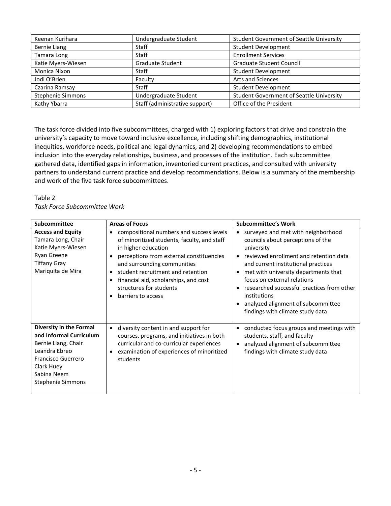| Keenan Kurihara          | Undergraduate Student          | <b>Student Government of Seattle University</b> |
|--------------------------|--------------------------------|-------------------------------------------------|
| <b>Bernie Liang</b>      | Staff                          | <b>Student Development</b>                      |
| Tamara Long              | <b>Staff</b>                   | <b>Enrollment Services</b>                      |
| Katie Myers-Wiesen       | <b>Graduate Student</b>        | Graduate Student Council                        |
| Monica Nixon             | Staff                          | <b>Student Development</b>                      |
| Jodi O'Brien             | Faculty                        | <b>Arts and Sciences</b>                        |
| Czarina Ramsay           | <b>Staff</b>                   | <b>Student Development</b>                      |
| <b>Stephenie Simmons</b> | Undergraduate Student          | <b>Student Government of Seattle University</b> |
| Kathy Ybarra             | Staff (administrative support) | Office of the President                         |

The task force divided into five subcommittees, charged with 1) exploring factors that drive and constrain the university's capacity to move toward inclusive excellence, including shifting demographics, institutional inequities, workforce needs, political and legal dynamics, and 2) developing recommendations to embed inclusion into the everyday relationships, business, and processes of the institution. Each subcommittee gathered data, identified gaps in information, inventoried current practices, and consulted with university partners to understand current practice and develop recommendations. Below is a summary of the membership and work of the five task force subcommittees.

#### Table 2 *Task Force Subcommittee Work*

| Subcommittee<br><b>Areas of Focus</b>                                                                                                                                     |                                                                                                                                                                                                                                                                                                                                       | <b>Subcommittee's Work</b>                                                                                                                                                                                                                                                                                                                                                                         |  |
|---------------------------------------------------------------------------------------------------------------------------------------------------------------------------|---------------------------------------------------------------------------------------------------------------------------------------------------------------------------------------------------------------------------------------------------------------------------------------------------------------------------------------|----------------------------------------------------------------------------------------------------------------------------------------------------------------------------------------------------------------------------------------------------------------------------------------------------------------------------------------------------------------------------------------------------|--|
| <b>Access and Equity</b><br>Tamara Long, Chair<br>Katie Myers-Wiesen<br>Ryan Greene<br><b>Tiffany Gray</b><br>Mariquita de Mira                                           | compositional numbers and success levels<br>of minoritized students, faculty, and staff<br>in higher education<br>perceptions from external constituencies<br>and surrounding communities<br>student recruitment and retention<br>$\bullet$<br>financial aid, scholarships, and cost<br>structures for students<br>barriers to access | surveyed and met with neighborhood<br>councils about perceptions of the<br>university<br>reviewed enrollment and retention data<br>and current institutional practices<br>met with university departments that<br>$\bullet$<br>focus on external relations<br>researched successful practices from other<br>institutions<br>analyzed alignment of subcommittee<br>findings with climate study data |  |
| Diversity in the Formal<br>and Informal Curriculum<br>Bernie Liang, Chair<br>Leandra Ebreo<br>Francisco Guerrero<br>Clark Huey<br>Sabina Neem<br><b>Stephenie Simmons</b> | diversity content in and support for<br>٠<br>courses, programs, and initiatives in both<br>curricular and co-curricular experiences<br>examination of experiences of minoritized<br>students                                                                                                                                          | conducted focus groups and meetings with<br>$\bullet$<br>students, staff, and faculty<br>analyzed alignment of subcommittee<br>findings with climate study data                                                                                                                                                                                                                                    |  |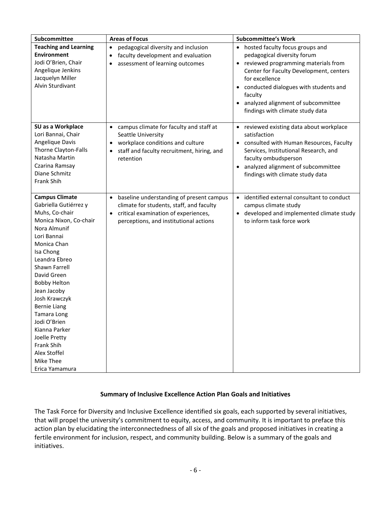| Subcommittee                                                                                                                                                                                                                                                                                                                                                                                                              | <b>Areas of Focus</b>                                                                                                                                                                            | <b>Subcommittee's Work</b>                                                                                                                                                                                                                                                                           |
|---------------------------------------------------------------------------------------------------------------------------------------------------------------------------------------------------------------------------------------------------------------------------------------------------------------------------------------------------------------------------------------------------------------------------|--------------------------------------------------------------------------------------------------------------------------------------------------------------------------------------------------|------------------------------------------------------------------------------------------------------------------------------------------------------------------------------------------------------------------------------------------------------------------------------------------------------|
| <b>Teaching and Learning</b><br><b>Environment</b><br>Jodi O'Brien, Chair<br>Angelique Jenkins<br>Jacquelyn Miller<br>Alvin Sturdivant                                                                                                                                                                                                                                                                                    | pedagogical diversity and inclusion<br>$\bullet$<br>faculty development and evaluation<br>$\bullet$<br>assessment of learning outcomes                                                           | • hosted faculty focus groups and<br>pedagogical diversity forum<br>• reviewed programming materials from<br>Center for Faculty Development, centers<br>for excellence<br>conducted dialogues with students and<br>faculty<br>analyzed alignment of subcommittee<br>findings with climate study data |
| SU as a Workplace<br>Lori Bannai, Chair<br>Angelique Davis<br>Thorne Clayton-Falls<br>Natasha Martin<br>Czarina Ramsay<br>Diane Schmitz<br>Frank Shih                                                                                                                                                                                                                                                                     | campus climate for faculty and staff at<br>$\bullet$<br>Seattle University<br>workplace conditions and culture<br>$\bullet$<br>staff and faculty recruitment, hiring, and<br>retention           | • reviewed existing data about workplace<br>satisfaction<br>• consulted with Human Resources, Faculty<br>Services, Institutional Research, and<br>faculty ombudsperson<br>analyzed alignment of subcommittee<br>findings with climate study data                                                     |
| <b>Campus Climate</b><br>Gabriella Gutiérrez y<br>Muhs, Co-chair<br>Monica Nixon, Co-chair<br>Nora Almunif<br>Lori Bannai<br>Monica Chan<br>Isa Chong<br>Leandra Ebreo<br>Shawn Farrell<br>David Green<br><b>Bobby Helton</b><br>Jean Jacoby<br>Josh Krawczyk<br><b>Bernie Liang</b><br>Tamara Long<br>Jodi O'Brien<br>Kianna Parker<br>Joelle Pretty<br><b>Frank Shih</b><br>Alex Stoffel<br>Mike Thee<br>Erica Yamamura | baseline understanding of present campus<br>$\bullet$<br>climate for students, staff, and faculty<br>critical examination of experiences,<br>$\bullet$<br>perceptions, and institutional actions | • identified external consultant to conduct<br>campus climate study<br>developed and implemented climate study<br>to inform task force work                                                                                                                                                          |

# **Summary of Inclusive Excellence Action Plan Goals and Initiatives**

The Task Force for Diversity and Inclusive Excellence identified six goals, each supported by several initiatives, that will propel the university's commitment to equity, access, and community. It is important to preface this action plan by elucidating the interconnectedness of all six of the goals and proposed initiatives in creating a fertile environment for inclusion, respect, and community building. Below is a summary of the goals and initiatives.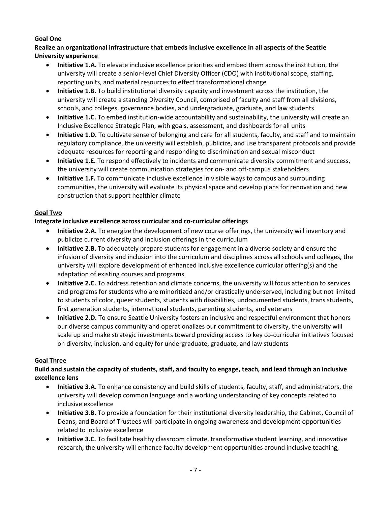# **Goal One**

**Realize an organizational infrastructure that embeds inclusive excellence in all aspects of the Seattle University experience**

- **Initiative 1.A.** To elevate inclusive excellence priorities and embed them across the institution, the university will create a senior-level Chief Diversity Officer (CDO) with institutional scope, staffing, reporting units, and material resources to effect transformational change
- **Initiative 1.B.** To build institutional diversity capacity and investment across the institution, the university will create a standing Diversity Council, comprised of faculty and staff from all divisions, schools, and colleges, governance bodies, and undergraduate, graduate, and law students
- **Initiative 1.C.** To embed institution-wide accountability and sustainability, the university will create an Inclusive Excellence Strategic Plan, with goals, assessment, and dashboards for all units
- **Initiative 1.D.** To cultivate sense of belonging and care for all students, faculty, and staff and to maintain regulatory compliance, the university will establish, publicize, and use transparent protocols and provide adequate resources for reporting and responding to discrimination and sexual misconduct
- **Initiative 1.E.** To respond effectively to incidents and communicate diversity commitment and success, the university will create communication strategies for on- and off-campus stakeholders
- **Initiative 1.F.** To communicate inclusive excellence in visible ways to campus and surrounding communities, the university will evaluate its physical space and develop plans for renovation and new construction that support healthier climate

# **Goal Two**

# **Integrate inclusive excellence across curricular and co-curricular offerings**

- **Initiative 2.A.** To energize the development of new course offerings, the university will inventory and publicize current diversity and inclusion offerings in the curriculum
- **Initiative 2.B.** To adequately prepare students for engagement in a diverse society and ensure the infusion of diversity and inclusion into the curriculum and disciplines across all schools and colleges, the university will explore development of enhanced inclusive excellence curricular offering(s) and the adaptation of existing courses and programs
- **Initiative 2.C.** To address retention and climate concerns, the university will focus attention to services and programs for students who are minoritized and/or drastically underserved, including but not limited to students of color, queer students, students with disabilities, undocumented students, trans students, first generation students, international students, parenting students, and veterans
- **Initiative 2.D.** To ensure Seattle University fosters an inclusive and respectful environment that honors our diverse campus community and operationalizes our commitment to diversity, the university will scale up and make strategic investments toward providing access to key co-curricular initiatives focused on diversity, inclusion, and equity for undergraduate, graduate, and law students

# **Goal Three**

# **Build and sustain the capacity of students, staff, and faculty to engage, teach, and lead through an inclusive excellence lens**

- **Initiative 3.A.** To enhance consistency and build skills of students, faculty, staff, and administrators, the university will develop common language and a working understanding of key concepts related to inclusive excellence
- **Initiative 3.B.** To provide a foundation for their institutional diversity leadership, the Cabinet, Council of Deans, and Board of Trustees will participate in ongoing awareness and development opportunities related to inclusive excellence
- **Initiative 3.C.** To facilitate healthy classroom climate, transformative student learning, and innovative research, the university will enhance faculty development opportunities around inclusive teaching,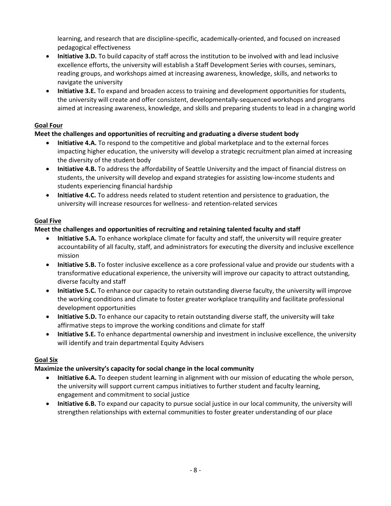learning, and research that are discipline-specific, academically-oriented, and focused on increased pedagogical effectiveness

- **Initiative 3.D.** To build capacity of staff across the institution to be involved with and lead inclusive excellence efforts, the university will establish a Staff Development Series with courses, seminars, reading groups, and workshops aimed at increasing awareness, knowledge, skills, and networks to navigate the university
- **Initiative 3.E.** To expand and broaden access to training and development opportunities for students, the university will create and offer consistent, developmentally-sequenced workshops and programs aimed at increasing awareness, knowledge, and skills and preparing students to lead in a changing world

# **Goal Four**

# **Meet the challenges and opportunities of recruiting and graduating a diverse student body**

- **Initiative 4.A.** To respond to the competitive and global marketplace and to the external forces impacting higher education, the university will develop a strategic recruitment plan aimed at increasing the diversity of the student body
- **Initiative 4.B.** To address the affordability of Seattle University and the impact of financial distress on students, the university will develop and expand strategies for assisting low-income students and students experiencing financial hardship
- **Initiative 4.C.** To address needs related to student retention and persistence to graduation, the university will increase resources for wellness- and retention-related services

# **Goal Five**

# **Meet the challenges and opportunities of recruiting and retaining talented faculty and staff**

- **Initiative 5.A.** To enhance workplace climate for faculty and staff, the university will require greater accountability of all faculty, staff, and administrators for executing the diversity and inclusive excellence mission
- **Initiative 5.B.** To foster inclusive excellence as a core professional value and provide our students with a transformative educational experience, the university will improve our capacity to attract outstanding, diverse faculty and staff
- **Initiative 5.C.** To enhance our capacity to retain outstanding diverse faculty, the university will improve the working conditions and climate to foster greater workplace tranquility and facilitate professional development opportunities
- **Initiative 5.D.** To enhance our capacity to retain outstanding diverse staff, the university will take affirmative steps to improve the working conditions and climate for staff
- **Initiative 5.E.** To enhance departmental ownership and investment in inclusive excellence, the university will identify and train departmental Equity Advisers

# **Goal Six**

# **Maximize the university's capacity for social change in the local community**

- **Initiative 6.A.** To deepen student learning in alignment with our mission of educating the whole person, the university will support current campus initiatives to further student and faculty learning, engagement and commitment to social justice
- **Initiative 6.B.** To expand our capacity to pursue social justice in our local community, the university will strengthen relationships with external communities to foster greater understanding of our place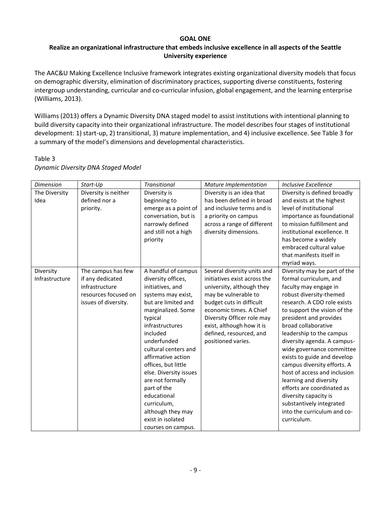## **GOAL ONE**

# **Realize an organizational infrastructure that embeds inclusive excellence in all aspects of the Seattle University experience**

The AAC&U Making Excellence Inclusive framework integrates existing organizational diversity models that focus on demographic diversity, elimination of discriminatory practices, supporting diverse constituents, fostering intergroup understanding, curricular and co-curricular infusion, global engagement, and the learning enterprise (Williams, 2013).

Williams (2013) offers a Dynamic Diversity DNA staged model to assist institutions with intentional planning to build diversity capacity into their organizational infrastructure. The model describes four stages of institutional development: 1) start-up, 2) transitional, 3) mature implementation, and 4) inclusive excellence. See Table 3 for a summary of the model's dimensions and developmental characteristics.

| <b>Dimension</b> | Start-Up             | <b>Transitional</b>    | Mature Implementation        | Inclusive Excellence         |
|------------------|----------------------|------------------------|------------------------------|------------------------------|
| The Diversity    | Diversity is neither | Diversity is           | Diversity is an idea that    | Diversity is defined broadly |
| Idea             | defined nor a        | beginning to           | has been defined in broad    | and exists at the highest    |
|                  | priority.            | emerge as a point of   | and inclusive terms and is   | level of institutional       |
|                  |                      | conversation, but is   | a priority on campus         | importance as foundational   |
|                  |                      | narrowly defined       | across a range of different  | to mission fulfillment and   |
|                  |                      | and still not a high   | diversity dimensions.        | institutional excellence. It |
|                  |                      | priority               |                              | has become a widely          |
|                  |                      |                        |                              | embraced cultural value      |
|                  |                      |                        |                              | that manifests itself in     |
|                  |                      |                        |                              | myriad ways.                 |
| Diversity        | The campus has few   | A handful of campus    | Several diversity units and  | Diversity may be part of the |
| Infrastructure   | if any dedicated     | diversity offices,     | initiatives exist across the | formal curriculum, and       |
|                  | infrastructure       | initiatives, and       | university, although they    | faculty may engage in        |
|                  | resources focused on | systems may exist,     | may be vulnerable to         | robust diversity-themed      |
|                  | issues of diversity. | but are limited and    | budget cuts in difficult     | research. A CDO role exists  |
|                  |                      | marginalized. Some     | economic times. A Chief      | to support the vision of the |
|                  |                      | typical                | Diversity Officer role may   | president and provides       |
|                  |                      | infrastructures        | exist, although how it is    | broad collaborative          |
|                  |                      | included               | defined, resourced, and      | leadership to the campus     |
|                  |                      | underfunded            | positioned varies.           | diversity agenda. A campus-  |
|                  |                      | cultural centers and   |                              | wide governance committee    |
|                  |                      | affirmative action     |                              | exists to guide and develop  |
|                  |                      | offices, but little    |                              | campus diversity efforts. A  |
|                  |                      | else. Diversity issues |                              | host of access and inclusion |
|                  |                      | are not formally       |                              | learning and diversity       |
|                  |                      | part of the            |                              | efforts are coordinated as   |
|                  |                      | educational            |                              | diversity capacity is        |
|                  |                      | curriculum,            |                              | substantively integrated     |
|                  |                      | although they may      |                              | into the curriculum and co-  |
|                  |                      | exist in isolated      |                              | curriculum.                  |
|                  |                      | courses on campus.     |                              |                              |

## Table 3 *Dynamic Diversity DNA Staged Model*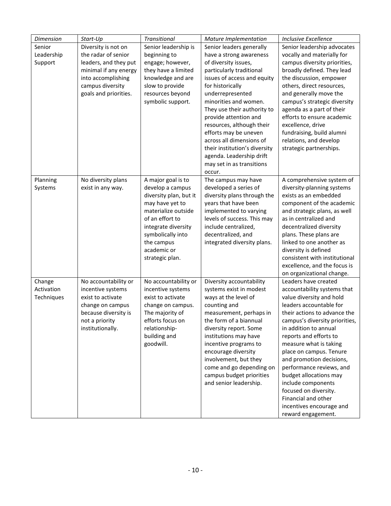| <b>Dimension</b> | Start-Up              | Transitional              | Mature Implementation                              | <b>Inclusive Excellence</b>                          |
|------------------|-----------------------|---------------------------|----------------------------------------------------|------------------------------------------------------|
| Senior           | Diversity is not on   | Senior leadership is      | Senior leaders generally                           | Senior leadership advocates                          |
| Leadership       | the radar of senior   | beginning to              | have a strong awareness                            | vocally and materially for                           |
| Support          | leaders, and they put | engage; however,          | of diversity issues,                               | campus diversity priorities,                         |
|                  | minimal if any energy | they have a limited       | particularly traditional                           | broadly defined. They lead                           |
|                  | into accomplishing    | knowledge and are         | issues of access and equity                        | the discussion, empower                              |
|                  | campus diversity      | slow to provide           | for historically                                   | others, direct resources,                            |
|                  | goals and priorities. | resources beyond          | underrepresented                                   | and generally move the                               |
|                  |                       | symbolic support.         | minorities and women.                              | campus's strategic diversity                         |
|                  |                       |                           | They use their authority to                        | agenda as a part of their                            |
|                  |                       |                           | provide attention and                              | efforts to ensure academic                           |
|                  |                       |                           | resources, although their                          | excellence, drive                                    |
|                  |                       |                           | efforts may be uneven                              | fundraising, build alumni                            |
|                  |                       |                           | across all dimensions of                           | relations, and develop                               |
|                  |                       |                           | their institution's diversity                      | strategic partnerships.                              |
|                  |                       |                           | agenda. Leadership drift                           |                                                      |
|                  |                       |                           | may set in as transitions                          |                                                      |
|                  |                       |                           | occur.                                             |                                                      |
| Planning         | No diversity plans    | A major goal is to        | The campus may have                                | A comprehensive system of                            |
| Systems          | exist in any way.     | develop a campus          | developed a series of                              | diversity-planning systems                           |
|                  |                       | diversity plan, but it    | diversity plans through the                        | exists as an embedded                                |
|                  |                       | may have yet to           | years that have been                               | component of the academic                            |
|                  |                       | materialize outside       | implemented to varying                             | and strategic plans, as well                         |
|                  |                       | of an effort to           | levels of success. This may                        | as in centralized and                                |
|                  |                       | integrate diversity       | include centralized,                               | decentralized diversity                              |
|                  |                       | symbolically into         | decentralized, and                                 | plans. These plans are                               |
|                  |                       | the campus                | integrated diversity plans.                        | linked to one another as                             |
|                  |                       | academic or               |                                                    | diversity is defined                                 |
|                  |                       | strategic plan.           |                                                    | consistent with institutional                        |
|                  |                       |                           |                                                    | excellence, and the focus is                         |
|                  |                       |                           |                                                    | on organizational change.                            |
| Change           | No accountability or  | No accountability or      | Diversity accountability                           | Leaders have created                                 |
| Activation       | incentive systems     | incentive systems         | systems exist in modest                            | accountability systems that                          |
| Techniques       | exist to activate     | exist to activate         | ways at the level of                               | value diversity and hold                             |
|                  | change on campus      | change on campus.         | counting and                                       | leaders accountable for                              |
|                  | because diversity is  | The majority of           | measurement, perhaps in                            | their actions to advance the                         |
|                  | not a priority        | efforts focus on          | the form of a biannual                             | campus's diversity priorities,                       |
|                  | institutionally.      | relationship-             | diversity report. Some                             | in addition to annual                                |
|                  |                       | building and<br>goodwill. | institutions may have                              | reports and efforts to                               |
|                  |                       |                           | incentive programs to                              | measure what is taking                               |
|                  |                       |                           | encourage diversity                                | place on campus. Tenure                              |
|                  |                       |                           | involvement, but they<br>come and go depending on  | and promotion decisions,<br>performance reviews, and |
|                  |                       |                           |                                                    |                                                      |
|                  |                       |                           | campus budget priorities<br>and senior leadership. | budget allocations may                               |
|                  |                       |                           |                                                    | include components<br>focused on diversity.          |
|                  |                       |                           |                                                    | Financial and other                                  |
|                  |                       |                           |                                                    | incentives encourage and                             |
|                  |                       |                           |                                                    | reward engagement.                                   |
|                  |                       |                           |                                                    |                                                      |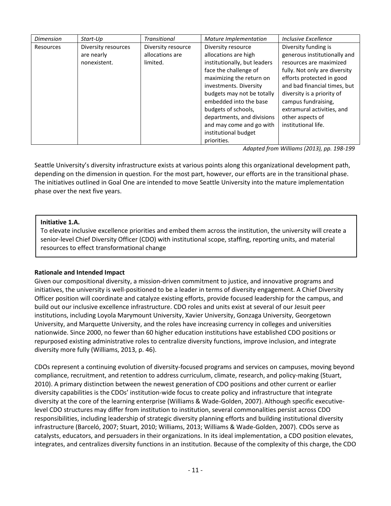| <b>Dimension</b> | Start-Up            | <b>Transitional</b> | Mature Implementation        | Inclusive Excellence          |
|------------------|---------------------|---------------------|------------------------------|-------------------------------|
| Resources        | Diversity resources | Diversity resource  | Diversity resource           | Diversity funding is          |
|                  | are nearly          | allocations are     | allocations are high         | generous institutionally and  |
|                  | nonexistent.        | limited.            | institutionally, but leaders | resources are maximized       |
|                  |                     |                     | face the challenge of        | fully. Not only are diversity |
|                  |                     |                     | maximizing the return on     | efforts protected in good     |
|                  |                     |                     | investments. Diversity       | and bad financial times, but  |
|                  |                     |                     | budgets may not be totally   | diversity is a priority of    |
|                  |                     |                     | embedded into the base       | campus fundraising,           |
|                  |                     |                     | budgets of schools,          | extramural activities, and    |
|                  |                     |                     | departments, and divisions   | other aspects of              |
|                  |                     |                     | and may come and go with     | institutional life.           |
|                  |                     |                     | institutional budget         |                               |
|                  |                     |                     | priorities.                  |                               |

 *Adapted from Williams (2013), pp. 198-199*

Seattle University's diversity infrastructure exists at various points along this organizational development path, depending on the dimension in question. For the most part, however, our efforts are in the transitional phase. The initiatives outlined in Goal One are intended to move Seattle University into the mature implementation phase over the next five years.

## **Initiative 1.A.**

To elevate inclusive excellence priorities and embed them across the institution, the university will create a senior-level Chief Diversity Officer (CDO) with institutional scope, staffing, reporting units, and material resources to effect transformational change

# **Rationale and Intended Impact**

Given our compositional diversity, a mission-driven commitment to justice, and innovative programs and initiatives, the university is well-positioned to be a leader in terms of diversity engagement. A Chief Diversity Officer position will coordinate and catalyze existing efforts, provide focused leadership for the campus, and build out our inclusive excellence infrastructure. CDO roles and units exist at several of our Jesuit peer institutions, including Loyola Marymount University, Xavier University, Gonzaga University, Georgetown University, and Marquette University, and the roles have increasing currency in colleges and universities nationwide. Since 2000, no fewer than 60 higher education institutions have established CDO positions or repurposed existing administrative roles to centralize diversity functions, improve inclusion, and integrate diversity more fully (Williams, 2013, p. 46).

CDOs represent a continuing evolution of diversity-focused programs and services on campuses, moving beyond compliance, recruitment, and retention to address curriculum, climate, research, and policy-making (Stuart, 2010). A primary distinction between the newest generation of CDO positions and other current or earlier diversity capabilities is the CDOs' institution-wide focus to create policy and infrastructure that integrate diversity at the core of the learning enterprise (Williams & Wade-Golden, 2007). Although specific executivelevel CDO structures may differ from institution to institution, several commonalities persist across CDO responsibilities, including leadership of strategic diversity planning efforts and building institutional diversity infrastructure (Barceló, 2007; Stuart, 2010; Williams, 2013; Williams & Wade-Golden, 2007). CDOs serve as catalysts, educators, and persuaders in their organizations. In its ideal implementation, a CDO position elevates, integrates, and centralizes diversity functions in an institution. Because of the complexity of this charge, the CDO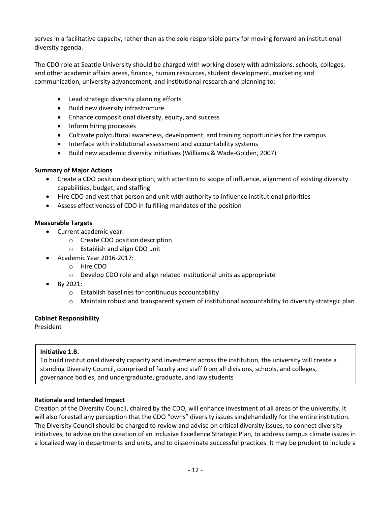serves in a facilitative capacity, rather than as the sole responsible party for moving forward an institutional diversity agenda.

The CDO role at Seattle University should be charged with working closely with admissions, schools, colleges, and other academic affairs areas, finance, human resources, student development, marketing and communication, university advancement, and institutional research and planning to:

- Lead strategic diversity planning efforts
- Build new diversity infrastructure
- Enhance compositional diversity, equity, and success
- Inform hiring processes
- Cultivate polycultural awareness, development, and training opportunities for the campus
- Interface with institutional assessment and accountability systems
- Build new academic diversity initiatives (Williams & Wade-Golden, 2007)

# **Summary of Major Actions**

- Create a CDO position description, with attention to scope of influence, alignment of existing diversity capabilities, budget, and staffing
- Hire CDO and vest that person and unit with authority to influence institutional priorities
- Assess effectiveness of CDO in fulfilling mandates of the position

## **Measurable Targets**

- Current academic year:
	- o Create CDO position description
	- o Establish and align CDO unit
- Academic Year 2016-2017:
	- o Hire CDO
	- o Develop CDO role and align related institutional units as appropriate
- By 2021:
	- o Establish baselines for continuous accountability
	- o Maintain robust and transparent system of institutional accountability to diversity strategic plan

# **Cabinet Responsibility**

President

# **Initiative 1.B.**

To build institutional diversity capacity and investment across the institution, the university will create a standing Diversity Council, comprised of faculty and staff from all divisions, schools, and colleges, governance bodies, and undergraduate, graduate, and law students

# **Rationale and Intended Impact**

Creation of the Diversity Council, chaired by the CDO, will enhance investment of all areas of the university. It will also forestall any perception that the CDO "owns" diversity issues singlehandedly for the entire institution. The Diversity Council should be charged to review and advise on critical diversity issues, to connect diversity initiatives, to advise on the creation of an Inclusive Excellence Strategic Plan, to address campus climate issues in a localized way in departments and units, and to disseminate successful practices. It may be prudent to include a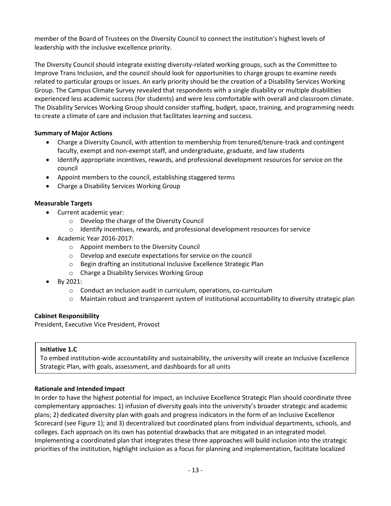member of the Board of Trustees on the Diversity Council to connect the institution's highest levels of leadership with the inclusive excellence priority.

The Diversity Council should integrate existing diversity-related working groups, such as the Committee to Improve Trans Inclusion, and the council should look for opportunities to charge groups to examine needs related to particular groups or issues. An early priority should be the creation of a Disability Services Working Group. The Campus Climate Survey revealed that respondents with a single disability or multiple disabilities experienced less academic success (for students) and were less comfortable with overall and classroom climate. The Disability Services Working Group should consider staffing, budget, space, training, and programming needs to create a climate of care and inclusion that facilitates learning and success.

# **Summary of Major Actions**

- Charge a Diversity Council, with attention to membership from tenured/tenure-track and contingent faculty, exempt and non-exempt staff, and undergraduate, graduate, and law students
- Identify appropriate incentives, rewards, and professional development resources for service on the council
- Appoint members to the council, establishing staggered terms
- Charge a Disability Services Working Group

# **Measurable Targets**

- Current academic year:
	- o Develop the charge of the Diversity Council
	- $\circ$  Identify incentives, rewards, and professional development resources for service
- Academic Year 2016-2017:
	- o Appoint members to the Diversity Council
	- o Develop and execute expectations for service on the council
	- o Begin drafting an institutional Inclusive Excellence Strategic Plan
	- o Charge a Disability Services Working Group
- By 2021:
	- o Conduct an inclusion audit in curriculum, operations, co-curriculum
	- $\circ$  Maintain robust and transparent system of institutional accountability to diversity strategic plan

# **Cabinet Responsibility**

President, Executive Vice President, Provost

# **Initiative 1.C**

To embed institution-wide accountability and sustainability, the university will create an Inclusive Excellence Strategic Plan, with goals, assessment, and dashboards for all units

# **Rationale and Intended Impact**

In order to have the highest potential for impact, an Inclusive Excellence Strategic Plan should coordinate three complementary approaches: 1) infusion of diversity goals into the university's broader strategic and academic plans; 2) dedicated diversity plan with goals and progress indicators in the form of an Inclusive Excellence Scorecard (see Figure 1); and 3) decentralized but coordinated plans from individual departments, schools, and colleges. Each approach on its own has potential drawbacks that are mitigated in an integrated model. Implementing a coordinated plan that integrates these three approaches will build inclusion into the strategic priorities of the institution, highlight inclusion as a focus for planning and implementation, facilitate localized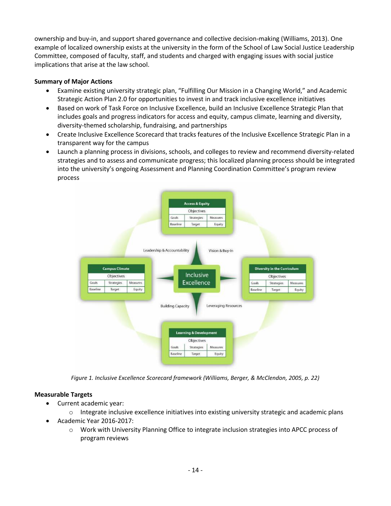ownership and buy-in, and support shared governance and collective decision-making (Williams, 2013). One example of localized ownership exists at the university in the form of the School of Law Social Justice Leadership Committee, composed of faculty, staff, and students and charged with engaging issues with social justice implications that arise at the law school.

# **Summary of Major Actions**

- Examine existing university strategic plan, "Fulfilling Our Mission in a Changing World," and Academic Strategic Action Plan 2.0 for opportunities to invest in and track inclusive excellence initiatives
- **•** Based on work of Task Force on Inclusive Excellence, build an Inclusive Excellence Strategic Plan that includes goals and progress indicators for access and equity, campus climate, learning and diversity, diversity-themed scholarship, fundraising, and partnerships
- Create Inclusive Excellence Scorecard that tracks features of the Inclusive Excellence Strategic Plan in a transparent way for the campus
- Launch a planning process in divisions, schools, and colleges to review and recommend diversity-related strategies and to assess and communicate progress; this localized planning process should be integrated into the university's ongoing Assessment and Planning Coordination Committee's program review process



*Figure 1. Inclusive Excellence Scorecard framework (Williams, Berger, & McClendon, 2005, p. 22)*

# **Measurable Targets**

Current academic year:

 $\circ$  Integrate inclusive excellence initiatives into existing university strategic and academic plans

- Academic Year 2016-2017:
	- o Work with University Planning Office to integrate inclusion strategies into APCC process of program reviews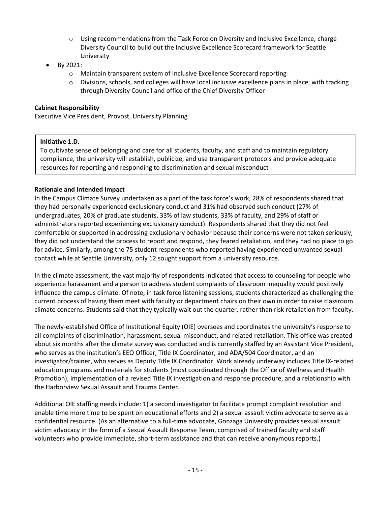- o Using recommendations from the Task Force on Diversity and Inclusive Excellence, charge Diversity Council to build out the Inclusive Excellence Scorecard framework for Seattle University
- By 2021:
	- o Maintain transparent system of Inclusive Excellence Scorecard reporting
	- $\circ$  Divisions, schools, and colleges will have local inclusive excellence plans in place, with tracking through Diversity Council and office of the Chief Diversity Officer

# **Cabinet Responsibility**

Executive Vice President, Provost, University Planning

## **Initiative 1.D.**

To cultivate sense of belonging and care for all students, faculty, and staff and to maintain regulatory compliance, the university will establish, publicize, and use transparent protocols and provide adequate resources for reporting and responding to discrimination and sexual misconduct

## **Rationale and Intended Impact**

In the Campus Climate Survey undertaken as a part of the task force's work, 28% of respondents shared that they had personally experienced exclusionary conduct and 31% had observed such conduct (27% of undergraduates, 20% of graduate students, 33% of law students, 33% of faculty, and 29% of staff or administrators reported experiencing exclusionary conduct). Respondents shared that they did not feel comfortable or supported in addressing exclusionary behavior because their concerns were not taken seriously, they did not understand the process to report and respond, they feared retaliation, and they had no place to go for advice. Similarly, among the 75 student respondents who reported having experienced unwanted sexual contact while at Seattle University, only 12 sought support from a university resource.

In the climate assessment, the vast majority of respondents indicated that access to counseling for people who experience harassment and a person to address student complaints of classroom inequality would positively influence the campus climate. Of note, in task force listening sessions, students characterized as challenging the current process of having them meet with faculty or department chairs on their own in order to raise classroom climate concerns. Students said that they typically wait out the quarter, rather than risk retaliation from faculty.

The newly-established Office of Institutional Equity (OIE) oversees and coordinates the university's response to all complaints of discrimination, harassment, sexual misconduct, and related retaliation. This office was created about six months after the climate survey was conducted and is currently staffed by an Assistant Vice President, who serves as the institution's EEO Officer, Title IX Coordinator, and ADA/504 Coordinator, and an investigator/trainer, who serves as Deputy Title IX Coordinator. Work already underway includes Title IX-related education programs and materials for students (most coordinated through the Office of Wellness and Health Promotion), implementation of a revised Title IX investigation and response procedure, and a relationship with the Harborview Sexual Assault and Trauma Center.

Additional OIE staffing needs include: 1) a second investigator to facilitate prompt complaint resolution and enable time more time to be spent on educational efforts and 2) a sexual assault victim advocate to serve as a confidential resource. (As an alternative to a full-time advocate, Gonzaga University provides sexual assault victim advocacy in the form of a Sexual Assault Response Team, comprised of trained faculty and staff volunteers who provide immediate, short-term assistance and that can receive anonymous reports.)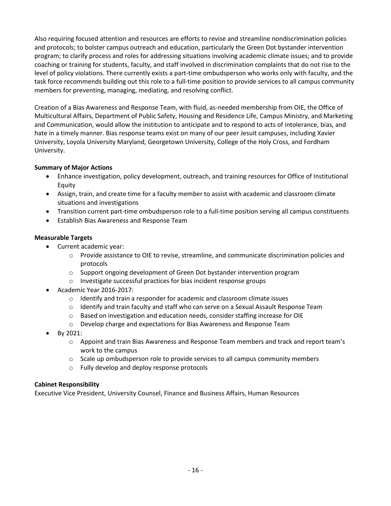Also requiring focused attention and resources are efforts to revise and streamline nondiscrimination policies and protocols; to bolster campus outreach and education, particularly the Green Dot bystander intervention program; to clarify process and roles for addressing situations involving academic climate issues; and to provide coaching or training for students, faculty, and staff involved in discrimination complaints that do not rise to the level of policy violations. There currently exists a part-time ombudsperson who works only with faculty, and the task force recommends building out this role to a full-time position to provide services to all campus community members for preventing, managing, mediating, and resolving conflict.

Creation of a Bias Awareness and Response Team, with fluid, as-needed membership from OIE, the Office of Multicultural Affairs, Department of Public Safety, Housing and Residence Life, Campus Ministry, and Marketing and Communication, would allow the institution to anticipate and to respond to acts of intolerance, bias, and hate in a timely manner. Bias response teams exist on many of our peer Jesuit campuses, including Xavier University, Loyola University Maryland, Georgetown University, College of the Holy Cross, and Fordham University.

# **Summary of Major Actions**

- Enhance investigation, policy development, outreach, and training resources for Office of Institutional Equity
- Assign, train, and create time for a faculty member to assist with academic and classroom climate situations and investigations
- Transition current part-time ombudsperson role to a full-time position serving all campus constituents
- Establish Bias Awareness and Response Team

## **Measurable Targets**

- Current academic year:
	- o Provide assistance to OIE to revise, streamline, and communicate discrimination policies and protocols
	- o Support ongoing development of Green Dot bystander intervention program
	- o Investigate successful practices for bias incident response groups
- Academic Year 2016-2017:
	- o Identify and train a responder for academic and classroom climate issues
	- $\circ$  Identify and train faculty and staff who can serve on a Sexual Assault Response Team
	- o Based on investigation and education needs, consider staffing increase for OIE
	- o Develop charge and expectations for Bias Awareness and Response Team
- By 2021:
	- $\circ$  Appoint and train Bias Awareness and Response Team members and track and report team's work to the campus
	- $\circ$  Scale up ombudsperson role to provide services to all campus community members
	- o Fully develop and deploy response protocols

## **Cabinet Responsibility**

Executive Vice President, University Counsel, Finance and Business Affairs, Human Resources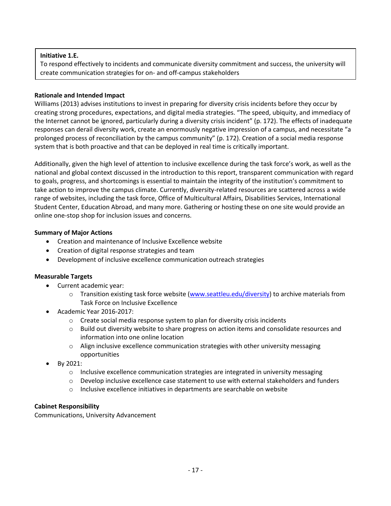# **Initiative 1.E.**

To respond effectively to incidents and communicate diversity commitment and success, the university will create communication strategies for on- and off-campus stakeholders

## **Rationale and Intended Impact**

Williams (2013) advises institutions to invest in preparing for diversity crisis incidents before they occur by creating strong procedures, expectations, and digital media strategies. "The speed, ubiquity, and immediacy of the Internet cannot be ignored, particularly during a diversity crisis incident" (p. 172). The effects of inadequate responses can derail diversity work, create an enormously negative impression of a campus, and necessitate "a prolonged process of reconciliation by the campus community" (p. 172). Creation of a social media response system that is both proactive and that can be deployed in real time is critically important.

Additionally, given the high level of attention to inclusive excellence during the task force's work, as well as the national and global context discussed in the introduction to this report, transparent communication with regard to goals, progress, and shortcomings is essential to maintain the integrity of the institution's commitment to take action to improve the campus climate. Currently, diversity-related resources are scattered across a wide range of websites, including the task force, Office of Multicultural Affairs, Disabilities Services, International Student Center, Education Abroad, and many more. Gathering or hosting these on one site would provide an online one-stop shop for inclusion issues and concerns.

## **Summary of Major Actions**

- Creation and maintenance of Inclusive Excellence website
- Creation of digital response strategies and team
- Development of inclusive excellence communication outreach strategies

# **Measurable Targets**

- Current academic year:
	- $\circ$  Transition existing task force website [\(www.seattleu.edu/diversity\)](http://www.seattleu.edu/diversity) to archive materials from Task Force on Inclusive Excellence
- Academic Year 2016-2017:
	- $\circ$  Create social media response system to plan for diversity crisis incidents
	- o Build out diversity website to share progress on action items and consolidate resources and information into one online location
	- o Align inclusive excellence communication strategies with other university messaging opportunities
- By 2021:
	- $\circ$  Inclusive excellence communication strategies are integrated in university messaging
	- $\circ$  Develop inclusive excellence case statement to use with external stakeholders and funders
	- o Inclusive excellence initiatives in departments are searchable on website

# **Cabinet Responsibility**

Communications, University Advancement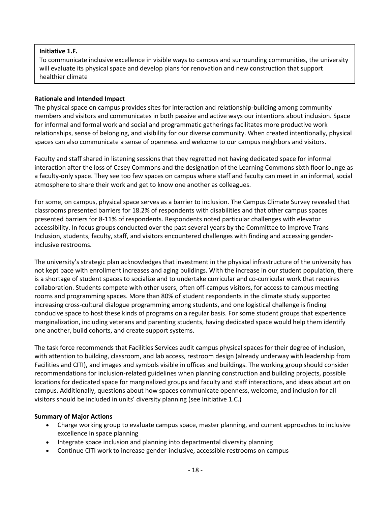# **Initiative 1.F.**

To communicate inclusive excellence in visible ways to campus and surrounding communities, the university will evaluate its physical space and develop plans for renovation and new construction that support healthier climate

## **Rationale and Intended Impact**

The physical space on campus provides sites for interaction and relationship-building among community members and visitors and communicates in both passive and active ways our intentions about inclusion. Space for informal and formal work and social and programmatic gatherings facilitates more productive work relationships, sense of belonging, and visibility for our diverse community. When created intentionally, physical spaces can also communicate a sense of openness and welcome to our campus neighbors and visitors.

Faculty and staff shared in listening sessions that they regretted not having dedicated space for informal interaction after the loss of Casey Commons and the designation of the Learning Commons sixth floor lounge as a faculty-only space. They see too few spaces on campus where staff and faculty can meet in an informal, social atmosphere to share their work and get to know one another as colleagues.

For some, on campus, physical space serves as a barrier to inclusion. The Campus Climate Survey revealed that classrooms presented barriers for 18.2% of respondents with disabilities and that other campus spaces presented barriers for 8-11% of respondents. Respondents noted particular challenges with elevator accessibility. In focus groups conducted over the past several years by the Committee to Improve Trans Inclusion, students, faculty, staff, and visitors encountered challenges with finding and accessing genderinclusive restrooms.

The university's strategic plan acknowledges that investment in the physical infrastructure of the university has not kept pace with enrollment increases and aging buildings. With the increase in our student population, there is a shortage of student spaces to socialize and to undertake curricular and co-curricular work that requires collaboration. Students compete with other users, often off-campus visitors, for access to campus meeting rooms and programming spaces. More than 80% of student respondents in the climate study supported increasing cross-cultural dialogue programming among students, and one logistical challenge is finding conducive space to host these kinds of programs on a regular basis. For some student groups that experience marginalization, including veterans and parenting students, having dedicated space would help them identify one another, build cohorts, and create support systems.

The task force recommends that Facilities Services audit campus physical spaces for their degree of inclusion, with attention to building, classroom, and lab access, restroom design (already underway with leadership from Facilities and CITI), and images and symbols visible in offices and buildings. The working group should consider recommendations for inclusion-related guidelines when planning construction and building projects, possible locations for dedicated space for marginalized groups and faculty and staff interactions, and ideas about art on campus. Additionally, questions about how spaces communicate openness, welcome, and inclusion for all visitors should be included in units' diversity planning (see Initiative 1.C.)

## **Summary of Major Actions**

- Charge working group to evaluate campus space, master planning, and current approaches to inclusive excellence in space planning
- Integrate space inclusion and planning into departmental diversity planning
- Continue CITI work to increase gender-inclusive, accessible restrooms on campus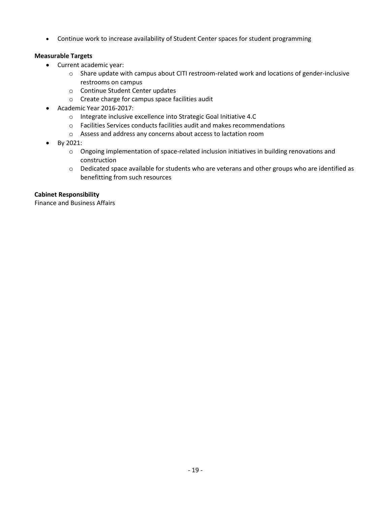Continue work to increase availability of Student Center spaces for student programming

# **Measurable Targets**

- Current academic year:
	- o Share update with campus about CITI restroom-related work and locations of gender-inclusive restrooms on campus
	- o Continue Student Center updates
	- o Create charge for campus space facilities audit
- Academic Year 2016-2017:
	- o Integrate inclusive excellence into Strategic Goal Initiative 4.C
	- o Facilities Services conducts facilities audit and makes recommendations
	- o Assess and address any concerns about access to lactation room
- By 2021:
	- $\circ$  Ongoing implementation of space-related inclusion initiatives in building renovations and construction
	- o Dedicated space available for students who are veterans and other groups who are identified as benefitting from such resources

# **Cabinet Responsibility**

Finance and Business Affairs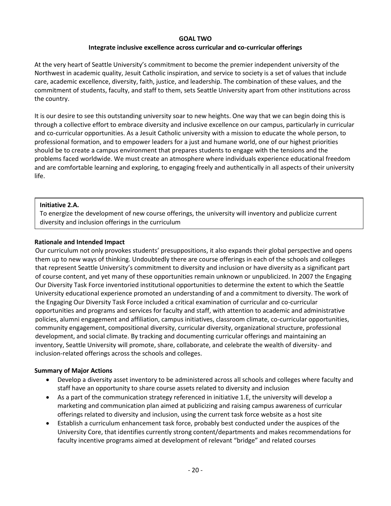## **GOAL TWO**

## **Integrate inclusive excellence across curricular and co-curricular offerings**

At the very heart of Seattle University's commitment to become the premier independent university of the Northwest in academic quality, Jesuit Catholic inspiration, and service to society is a set of values that include care, academic excellence, diversity, faith, justice, and leadership. The combination of these values, and the commitment of students, faculty, and staff to them, sets Seattle University apart from other institutions across the country.

It is our desire to see this outstanding university soar to new heights. One way that we can begin doing this is through a collective effort to embrace diversity and inclusive excellence on our campus, particularly in curricular and co-curricular opportunities. As a Jesuit Catholic university with a mission to educate the whole person, to professional formation, and to empower leaders for a just and humane world, one of our highest priorities should be to create a campus environment that prepares students to engage with the tensions and the problems faced worldwide. We must create an atmosphere where individuals experience educational freedom and are comfortable learning and exploring, to engaging freely and authentically in all aspects of their university life.

## **Initiative 2.A.**

To energize the development of new course offerings, the university will inventory and publicize current diversity and inclusion offerings in the curriculum

## **Rationale and Intended Impact**

Our curriculum not only provokes students' presuppositions, it also expands their global perspective and opens them up to new ways of thinking. Undoubtedly there are course offerings in each of the schools and colleges that represent Seattle University's commitment to diversity and inclusion or have diversity as a significant part of course content, and yet many of these opportunities remain unknown or unpublicized. In 2007 the Engaging Our Diversity Task Force inventoried institutional opportunities to determine the extent to which the Seattle University educational experience promoted an understanding of and a commitment to diversity. The work of the Engaging Our Diversity Task Force included a critical examination of curricular and co-curricular opportunities and programs and services for faculty and staff, with attention to academic and administrative policies, alumni engagement and affiliation, campus initiatives, classroom climate, co-curricular opportunities, community engagement, compositional diversity, curricular diversity, organizational structure, professional development, and social climate. By tracking and documenting curricular offerings and maintaining an inventory, Seattle University will promote, share, collaborate, and celebrate the wealth of diversity- and inclusion-related offerings across the schools and colleges.

## **Summary of Major Actions**

- Develop a diversity asset inventory to be administered across all schools and colleges where faculty and staff have an opportunity to share course assets related to diversity and inclusion
- As a part of the communication strategy referenced in initiative 1.E, the university will develop a marketing and communication plan aimed at publicizing and raising campus awareness of curricular offerings related to diversity and inclusion, using the current task force website as a host site
- Establish a curriculum enhancement task force, probably best conducted under the auspices of the University Core, that identifies currently strong content/departments and makes recommendations for faculty incentive programs aimed at development of relevant "bridge" and related courses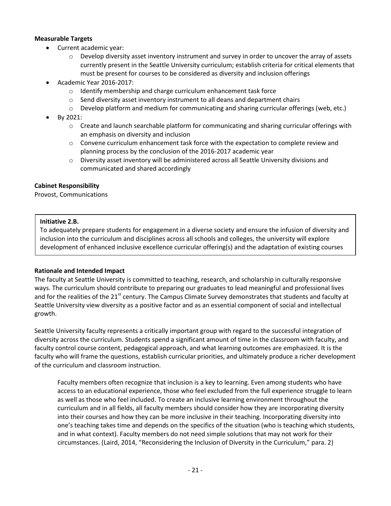## **Measurable Targets**

- Current academic year:
	- $\circ$  Develop diversity asset inventory instrument and survey in order to uncover the array of assets currently present in the Seattle University curriculum; establish criteria for critical elements that must be present for courses to be considered as diversity and inclusion offerings
- Academic Year 2016-2017:
	- o Identify membership and charge curriculum enhancement task force
	- o Send diversity asset inventory instrument to all deans and department chairs
	- o Develop platform and medium for communicating and sharing curricular offerings (web, etc.)
- By 2021:
	- $\circ$  Create and launch searchable platform for communicating and sharing curricular offerings with an emphasis on diversity and inclusion
	- $\circ$  Convene curriculum enhancement task force with the expectation to complete review and planning process by the conclusion of the 2016-2017 academic year
	- o Diversity asset inventory will be administered across all Seattle University divisions and communicated and shared accordingly

## **Cabinet Responsibility**

Provost, Communications

## **Initiative 2.B.**

and programs and programs are also been described by the second programs of the second programs of the second <br>And the second programs of the second programs of the second programs of the second programs of the second pro

To adequately prepare students for engagement in a diverse society and ensure the infusion of diversity and inclusion into the curriculum and disciplines across all schools and colleges, the university will explore development of enhanced inclusive excellence curricular offering(s) and the adaptation of existing courses

# **Rationale and Intended Impact**

The faculty at Seattle University is committed to teaching, research, and scholarship in culturally responsive ways. The curriculum should contribute to preparing our graduates to lead meaningful and professional lives and for the realities of the  $21<sup>st</sup>$  century. The Campus Climate Survey demonstrates that students and faculty at Seattle University view diversity as a positive factor and as an essential component of social and intellectual growth.

Seattle University faculty represents a critically important group with regard to the successful integration of diversity across the curriculum. Students spend a significant amount of time in the classroom with faculty, and faculty control course content, pedagogical approach, and what learning outcomes are emphasized. It is the faculty who will frame the questions, establish curricular priorities, and ultimately produce a richer development of the curriculum and classroom instruction.

Faculty members often recognize that inclusion is a key to learning. Even among students who have access to an educational experience, those who feel excluded from the full experience struggle to learn as well as those who feel included. To create an inclusive learning environment throughout the curriculum and in all fields, all faculty members should consider how they are incorporating diversity into their courses and how they can be more inclusive in their teaching. Incorporating diversity into one's teaching takes time and depends on the specifics of the situation (who is teaching which students, and in what context). Faculty members do not need simple solutions that may not work for their circumstances. (Laird, 2014, "Reconsidering the Inclusion of Diversity in the Curriculum," para. 2)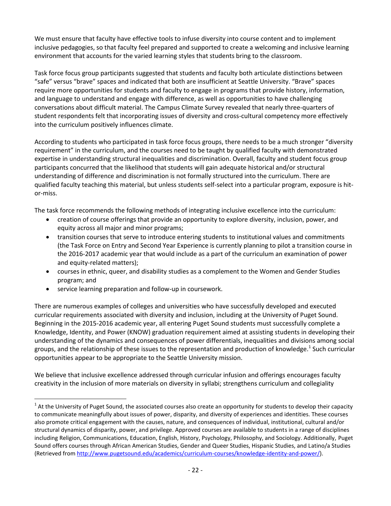We must ensure that faculty have effective tools to infuse diversity into course content and to implement inclusive pedagogies, so that faculty feel prepared and supported to create a welcoming and inclusive learning environment that accounts for the varied learning styles that students bring to the classroom.

Task force focus group participants suggested that students and faculty both articulate distinctions between "safe" versus "brave" spaces and indicated that both are insufficient at Seattle University. "Brave" spaces require more opportunities for students and faculty to engage in programs that provide history, information, and language to understand and engage with difference, as well as opportunities to have challenging conversations about difficult material. The Campus Climate Survey revealed that nearly three-quarters of student respondents felt that incorporating issues of diversity and cross-cultural competency more effectively into the curriculum positively influences climate.

According to students who participated in task force focus groups, there needs to be a much stronger "diversity requirement" in the curriculum, and the courses need to be taught by qualified faculty with demonstrated expertise in understanding structural inequalities and discrimination. Overall, faculty and student focus group participants concurred that the likelihood that students will gain adequate historical and/or structural understanding of difference and discrimination is not formally structured into the curriculum. There are qualified faculty teaching this material, but unless students self-select into a particular program, exposure is hitor-miss.

The task force recommends the following methods of integrating inclusive excellence into the curriculum:

- creation of course offerings that provide an opportunity to explore diversity, inclusion, power, and equity across all major and minor programs;
- transition courses that serve to introduce entering students to institutional values and commitments (the Task Force on Entry and Second Year Experience is currently planning to pilot a transition course in the 2016-2017 academic year that would include as a part of the curriculum an examination of power and equity-related matters);
- courses in ethnic, queer, and disability studies as a complement to the Women and Gender Studies program; and
- service learning preparation and follow-up in coursework.

 $\overline{a}$ 

There are numerous examples of colleges and universities who have successfully developed and executed curricular requirements associated with diversity and inclusion, including at the University of Puget Sound. Beginning in the 2015-2016 academic year, all entering Puget Sound students must successfully complete a Knowledge, Identity, and Power (KNOW) graduation requirement aimed at assisting students in developing their understanding of the dynamics and consequences of power differentials, inequalities and divisions among social groups, and the relationship of these issues to the representation and production of knowledge.<sup>1</sup> Such curricular opportunities appear to be appropriate to the Seattle University mission.

We believe that inclusive excellence addressed through curricular infusion and offerings encourages faculty creativity in the inclusion of more materials on diversity in syllabi; strengthens curriculum and collegiality

 $1$  At the University of Puget Sound, the associated courses also create an opportunity for students to develop their capacity to communicate meaningfully about issues of power, disparity, and diversity of experiences and identities. These courses also promote critical engagement with the causes, nature, and consequences of individual, institutional, cultural and/or structural dynamics of disparity, power, and privilege. Approved courses are available to students in a range of disciplines including Religion, Communications, Education, English, History, Psychology, Philosophy, and Sociology. Additionally, Puget Sound offers courses through African American Studies, Gender and Queer Studies, Hispanic Studies, and Latino/a Studies (Retrieved fro[m http://www.pugetsound.edu/academics/curriculum-courses/knowledge-identity-and-power/\)](http://www.pugetsound.edu/academics/curriculum-courses/knowledge-identity-and-power/).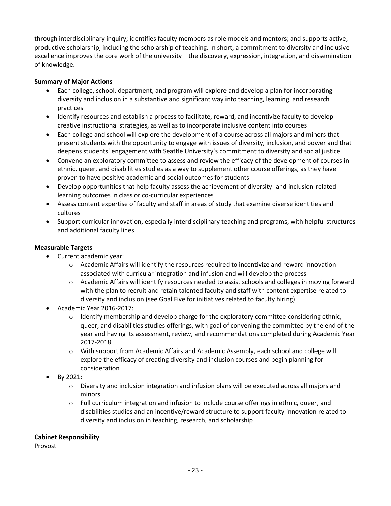through interdisciplinary inquiry; identifies faculty members as role models and mentors; and supports active, productive scholarship, including the scholarship of teaching. In short, a commitment to diversity and inclusive excellence improves the core work of the university – the discovery, expression, integration, and dissemination of knowledge.

# **Summary of Major Actions**

- Each college, school, department, and program will explore and develop a plan for incorporating diversity and inclusion in a substantive and significant way into teaching, learning, and research practices
- Identify resources and establish a process to facilitate, reward, and incentivize faculty to develop creative instructional strategies, as well as to incorporate inclusive content into courses
- Each college and school will explore the development of a course across all majors and minors that present students with the opportunity to engage with issues of diversity, inclusion, and power and that deepens students' engagement with Seattle University's commitment to diversity and social justice
- Convene an exploratory committee to assess and review the efficacy of the development of courses in ethnic, queer, and disabilities studies as a way to supplement other course offerings, as they have proven to have positive academic and social outcomes for students
- Develop opportunities that help faculty assess the achievement of diversity- and inclusion-related learning outcomes in class or co-curricular experiences
- Assess content expertise of faculty and staff in areas of study that examine diverse identities and cultures
- Support curricular innovation, especially interdisciplinary teaching and programs, with helpful structures and additional faculty lines

## **Measurable Targets**

- Current academic year:
	- $\circ$  Academic Affairs will identify the resources required to incentivize and reward innovation associated with curricular integration and infusion and will develop the process
	- o Academic Affairs will identify resources needed to assist schools and colleges in moving forward with the plan to recruit and retain talented faculty and staff with content expertise related to diversity and inclusion (see Goal Five for initiatives related to faculty hiring)
- Academic Year 2016-2017:
	- $\circ$  Identify membership and develop charge for the exploratory committee considering ethnic, queer, and disabilities studies offerings, with goal of convening the committee by the end of the year and having its assessment, review, and recommendations completed during Academic Year 2017-2018
	- o With support from Academic Affairs and Academic Assembly, each school and college will explore the efficacy of creating diversity and inclusion courses and begin planning for consideration
- By 2021:
	- $\circ$  Diversity and inclusion integration and infusion plans will be executed across all majors and minors
	- $\circ$  Full curriculum integration and infusion to include course offerings in ethnic, queer, and disabilities studies and an incentive/reward structure to support faculty innovation related to diversity and inclusion in teaching, research, and scholarship

## **Cabinet Responsibility**

Provost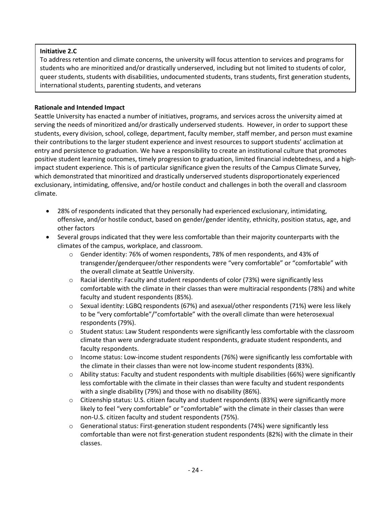# **Initiative 2.C**

To address retention and climate concerns, the university will focus attention to services and programs for students who are minoritized and/or drastically underserved, including but not limited to students of color, queer students, students with disabilities, undocumented students, trans students, first generation students, international students, parenting students, and veterans

# **Rationale and Intended Impact**

Seattle University has enacted a number of initiatives, programs, and services across the university aimed at serving the needs of minoritized and/or drastically underserved students. However, in order to support these students, every division, school, college, department, faculty member, staff member, and person must examine their contributions to the larger student experience and invest resources to support students' acclimation at entry and persistence to graduation. We have a responsibility to create an institutional culture that promotes positive student learning outcomes, timely progression to graduation, limited financial indebtedness, and a highimpact student experience. This is of particular significance given the results of the Campus Climate Survey, which demonstrated that minoritized and drastically underserved students disproportionately experienced exclusionary, intimidating, offensive, and/or hostile conduct and challenges in both the overall and classroom climate.

- 28% of respondents indicated that they personally had experienced exclusionary, intimidating, offensive, and/or hostile conduct, based on gender/gender identity, ethnicity, position status, age, and other factors
- Several groups indicated that they were less comfortable than their majority counterparts with the climates of the campus, workplace, and classroom.
	- o Gender identity: 76% of women respondents, 78% of men respondents, and 43% of transgender/genderqueer/other respondents were "very comfortable" or "comfortable" with the overall climate at Seattle University.
	- $\circ$  Racial identity: Faculty and student respondents of color (73%) were significantly less comfortable with the climate in their classes than were multiracial respondents (78%) and white faculty and student respondents (85%).
	- $\circ$  Sexual identity: LGBQ respondents (67%) and asexual/other respondents (71%) were less likely to be "very comfortable"/"comfortable" with the overall climate than were heterosexual respondents (79%).
	- $\circ$  Student status: Law Student respondents were significantly less comfortable with the classroom climate than were undergraduate student respondents, graduate student respondents, and faculty respondents.
	- $\circ$  Income status: Low-income student respondents (76%) were significantly less comfortable with the climate in their classes than were not low-income student respondents (83%).
	- $\circ$  Ability status: Faculty and student respondents with multiple disabilities (66%) were significantly less comfortable with the climate in their classes than were faculty and student respondents with a single disability (79%) and those with no disability (86%).
	- o Citizenship status: U.S. citizen faculty and student respondents (83%) were significantly more likely to feel "very comfortable" or "comfortable" with the climate in their classes than were non-U.S. citizen faculty and student respondents (75%).
	- Generational status: First-generation student respondents (74%) were significantly less comfortable than were not first-generation student respondents (82%) with the climate in their classes.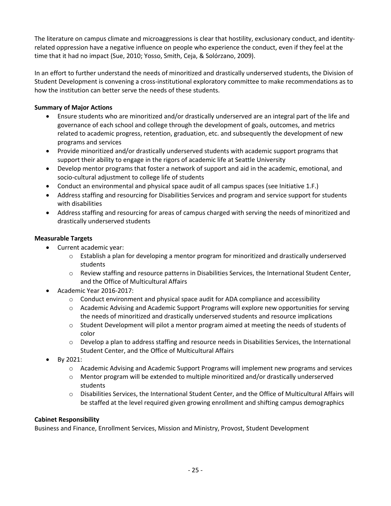The literature on campus climate and microaggressions is clear that hostility, exclusionary conduct, and identityrelated oppression have a negative influence on people who experience the conduct, even if they feel at the time that it had no impact (Sue, 2010; Yosso, Smith, Ceja, & Solórzano, 2009).

In an effort to further understand the needs of minoritized and drastically underserved students, the Division of Student Development is convening a cross-institutional exploratory committee to make recommendations as to how the institution can better serve the needs of these students.

# **Summary of Major Actions**

- Ensure students who are minoritized and/or drastically underserved are an integral part of the life and governance of each school and college through the development of goals, outcomes, and metrics related to academic progress, retention, graduation, etc. and subsequently the development of new programs and services
- Provide minoritized and/or drastically underserved students with academic support programs that support their ability to engage in the rigors of academic life at Seattle University
- Develop mentor programs that foster a network of support and aid in the academic, emotional, and socio-cultural adjustment to college life of students
- Conduct an environmental and physical space audit of all campus spaces (see Initiative 1.F.)
- Address staffing and resourcing for Disabilities Services and program and service support for students with disabilities
- Address staffing and resourcing for areas of campus charged with serving the needs of minoritized and drastically underserved students

# **Measurable Targets**

- Current academic year:
	- o Establish a plan for developing a mentor program for minoritized and drastically underserved students
	- o Review staffing and resource patterns in Disabilities Services, the International Student Center, and the Office of Multicultural Affairs
- Academic Year 2016-2017:
	- $\circ$  Conduct environment and physical space audit for ADA compliance and accessibility
	- o Academic Advising and Academic Support Programs will explore new opportunities for serving the needs of minoritized and drastically underserved students and resource implications
	- $\circ$  Student Development will pilot a mentor program aimed at meeting the needs of students of color
	- $\circ$  Develop a plan to address staffing and resource needs in Disabilities Services, the International Student Center, and the Office of Multicultural Affairs
- By 2021:
	- o Academic Advising and Academic Support Programs will implement new programs and services
	- $\circ$  Mentor program will be extended to multiple minoritized and/or drastically underserved students
	- o Disabilities Services, the International Student Center, and the Office of Multicultural Affairs will be staffed at the level required given growing enrollment and shifting campus demographics

# **Cabinet Responsibility**

Business and Finance, Enrollment Services, Mission and Ministry, Provost, Student Development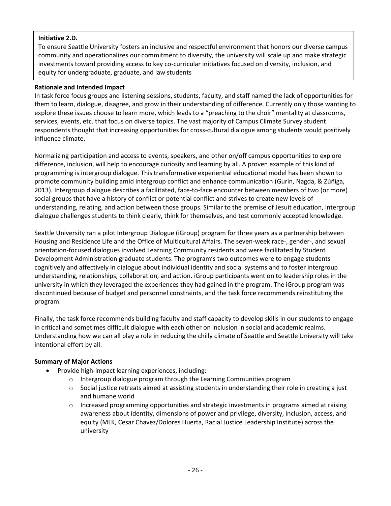# **Initiative 2.D.**

To ensure Seattle University fosters an inclusive and respectful environment that honors our diverse campus community and operationalizes our commitment to diversity, the university will scale up and make strategic investments toward providing access to key co-curricular initiatives focused on diversity, inclusion, and equity for undergraduate, graduate, and law students

# **Rationale and Intended Impact**

In task force focus groups and listening sessions, students, faculty, and staff named the lack of opportunities for them to learn, dialogue, disagree, and grow in their understanding of difference. Currently only those wanting to explore these issues choose to learn more, which leads to a "preaching to the choir" mentality at classrooms, services, events, etc. that focus on diverse topics. The vast majority of Campus Climate Survey student respondents thought that increasing opportunities for cross-cultural dialogue among students would positively influence climate.

Normalizing participation and access to events, speakers, and other on/off campus opportunities to explore difference, inclusion, will help to encourage curiosity and learning by all. A proven example of this kind of programming is intergroup dialogue. This transformative experiential educational model has been shown to promote community building amid intergroup conflict and enhance communication (Gurin, Nagda, & Zúñiga, 2013). Intergroup dialogue describes a facilitated, face-to-face encounter between members of two (or more) social groups that have a history of conflict or potential conflict and strives to create new levels of understanding, relating, and action between those groups. Similar to the premise of Jesuit education, intergroup dialogue challenges students to think clearly, think for themselves, and test commonly accepted knowledge.

Seattle University ran a pilot Intergroup Dialogue (iGroup) program for three years as a partnership between Housing and Residence Life and the Office of Multicultural Affairs. The seven-week race-, gender-, and sexual orientation-focused dialogues involved Learning Community residents and were facilitated by Student Development Administration graduate students. The program's two outcomes were to engage students cognitively and affectively in dialogue about individual identity and social systems and to foster intergroup understanding, relationships, collaboration, and action. iGroup participants went on to leadership roles in the university in which they leveraged the experiences they had gained in the program. The iGroup program was discontinued because of budget and personnel constraints, and the task force recommends reinstituting the program.

Finally, the task force recommends building faculty and staff capacity to develop skills in our students to engage in critical and sometimes difficult dialogue with each other on inclusion in social and academic realms. Understanding how we can all play a role in reducing the chilly climate of Seattle and Seattle University will take intentional effort by all.

# **Summary of Major Actions**

- Provide high-impact learning experiences, including:
	- o Intergroup dialogue program through the Learning Communities program
	- $\circ$  Social justice retreats aimed at assisting students in understanding their role in creating a just and humane world
	- $\circ$  Increased programming opportunities and strategic investments in programs aimed at raising awareness about identity, dimensions of power and privilege, diversity, inclusion, access, and equity (MLK, Cesar Chavez/Dolores Huerta, Racial Justice Leadership Institute) across the university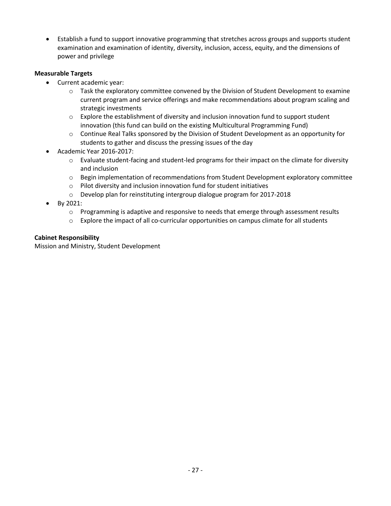Establish a fund to support innovative programming that stretches across groups and supports student examination and examination of identity, diversity, inclusion, access, equity, and the dimensions of power and privilege

# **Measurable Targets**

- Current academic year:
	- o Task the exploratory committee convened by the Division of Student Development to examine current program and service offerings and make recommendations about program scaling and strategic investments
	- $\circ$  Explore the establishment of diversity and inclusion innovation fund to support student innovation (this fund can build on the existing Multicultural Programming Fund)
	- $\circ$  Continue Real Talks sponsored by the Division of Student Development as an opportunity for students to gather and discuss the pressing issues of the day
- Academic Year 2016-2017:
	- $\circ$  Evaluate student-facing and student-led programs for their impact on the climate for diversity and inclusion
	- o Begin implementation of recommendations from Student Development exploratory committee
	- o Pilot diversity and inclusion innovation fund for student initiatives
	- o Develop plan for reinstituting intergroup dialogue program for 2017-2018
- By 2021:
	- $\circ$  Programming is adaptive and responsive to needs that emerge through assessment results
	- $\circ$  Explore the impact of all co-curricular opportunities on campus climate for all students

# **Cabinet Responsibility**

Mission and Ministry, Student Development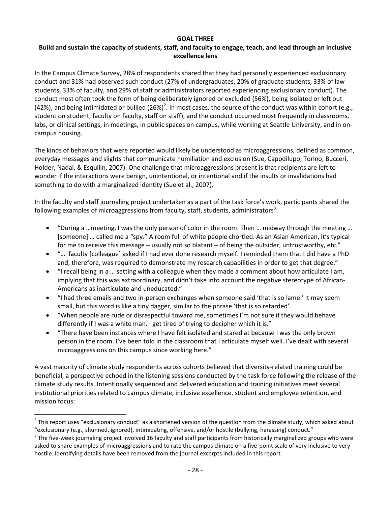## **GOAL THREE**

# **Build and sustain the capacity of students, staff, and faculty to engage, teach, and lead through an inclusive excellence lens**

In the Campus Climate Survey, 28% of respondents shared that they had personally experienced exclusionary conduct and 31% had observed such conduct (27% of undergraduates, 20% of graduate students, 33% of law students, 33% of faculty, and 29% of staff or administrators reported experiencing exclusionary conduct). The conduct most often took the form of being deliberately ignored or excluded (56%), being isolated or left out (42%), and being intimidated or bullied (26%)<sup>2</sup>. In most cases, the source of the conduct was within cohort (e.g., student on student, faculty on faculty, staff on staff), and the conduct occurred most frequently in classrooms, labs, or clinical settings, in meetings, in public spaces on campus, while working at Seattle University, and in oncampus housing.

The kinds of behaviors that were reported would likely be understood as microaggressions, defined as common, everyday messages and slights that communicate humiliation and exclusion (Sue, Capodilupo, Torino, Bucceri, Holder, Nadal, & Esquilin, 2007). One challenge that microaggressions present is that recipients are left to wonder if the interactions were benign, unintentional, or intentional and if the insults or invalidations had something to do with a marginalized identity (Sue et al., 2007).

In the faculty and staff journaling project undertaken as a part of the task force's work, participants shared the following examples of microaggressions from faculty, staff, students, administrators<sup>3</sup>:

- "During a …meeting, I was the only person of color in the room. Then … midway through the meeting … [someone] … called me a "spy." A room full of white people chortled. As an Asian American, it's typical for me to receive this message – usually not so blatant – of being the outsider, untrustworthy, etc."
- "… faculty [colleague] asked if I had ever done research myself. I reminded them that I did have a PhD and, therefore, was required to demonstrate my research capabilities in order to get that degree."
- "I recall being in a … setting with a colleague when they made a comment about how articulate I am, implying that this was extraordinary, and didn't take into account the negative stereotype of African-Americans as inarticulate and uneducated."
- "I had three emails and two in-person exchanges when someone said 'that is so lame.' It may seem small, but this word is like a tiny dagger, similar to the phrase 'that is so retarded'.
- "When people are rude or disrespectful toward me, sometimes I'm not sure if they would behave differently if I was a white man. I get tired of trying to decipher which it is."
- "There have been instances where I have felt isolated and stared at because I was the only brown person in the room. I've been told in the classroom that I articulate myself well. I've dealt with several microaggressions on this campus since working here."

A vast majority of climate study respondents across cohorts believed that diversity-related training could be beneficial, a perspective echoed in the listening sessions conducted by the task force following the release of the climate study results. Intentionally sequenced and delivered education and training initiatives meet several institutional priorities related to campus climate, inclusive excellence, student and employee retention, and mission focus:

 $\overline{a}$ 

 $^2$  This report uses "exclusionary conduct" as a shortened version of the question from the climate study, which asked about "exclusionary (e.g., shunned, ignored), intimidating, offensive, and/or hostile (bullying, harassing) conduct."

 $3$  The five-week journaling project involved 16 faculty and staff participants from historically marginalized groups who were asked to share examples of microaggressions and to rate the campus climate on a five-point scale of very inclusive to very hostile. Identifying details have been removed from the journal excerpts included in this report.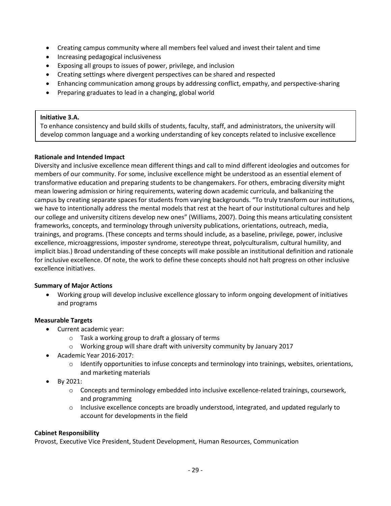- Creating campus community where all members feel valued and invest their talent and time
- Increasing pedagogical inclusiveness
- Exposing all groups to issues of power, privilege, and inclusion
- Creating settings where divergent perspectives can be shared and respected
- Enhancing communication among groups by addressing conflict, empathy, and perspective-sharing
- Preparing graduates to lead in a changing, global world

#### **Initiative 3.A.**

To enhance consistency and build skills of students, faculty, staff, and administrators, the university will develop common language and a working understanding of key concepts related to inclusive excellence

## **Rationale and Intended Impact**

Diversity and inclusive excellence mean different things and call to mind different ideologies and outcomes for members of our community. For some, inclusive excellence might be understood as an essential element of transformative education and preparing students to be changemakers. For others, embracing diversity might mean lowering admission or hiring requirements, watering down academic curricula, and balkanizing the campus by creating separate spaces for students from varying backgrounds. "To truly transform our institutions, we have to intentionally address the mental models that rest at the heart of our institutional cultures and help our college and university citizens develop new ones" (Williams, 2007). Doing this means articulating consistent frameworks, concepts, and terminology through university publications, orientations, outreach, media, trainings, and programs. (These concepts and terms should include, as a baseline, privilege, power, inclusive excellence, microaggressions, imposter syndrome, stereotype threat, polyculturalism, cultural humility, and implicit bias.) Broad understanding of these concepts will make possible an institutional definition and rationale for inclusive excellence. Of note, the work to define these concepts should not halt progress on other inclusive excellence initiatives.

## **Summary of Major Actions**

 Working group will develop inclusive excellence glossary to inform ongoing development of initiatives and programs

## **Measurable Targets**

- Current academic year:
	- o Task a working group to draft a glossary of terms
	- o Working group will share draft with university community by January 2017
- Academic Year 2016-2017:
	- $\circ$  Identify opportunities to infuse concepts and terminology into trainings, websites, orientations, and marketing materials
- By 2021:
	- o Concepts and terminology embedded into inclusive excellence-related trainings, coursework, and programming
	- $\circ$  Inclusive excellence concepts are broadly understood, integrated, and updated regularly to account for developments in the field

## **Cabinet Responsibility**

Provost, Executive Vice President, Student Development, Human Resources, Communication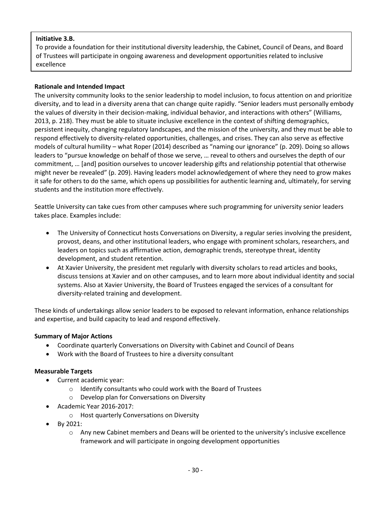# **Initiative 3.B.**

To provide a foundation for their institutional diversity leadership, the Cabinet, Council of Deans, and Board of Trustees will participate in ongoing awareness and development opportunities related to inclusive excellence

## **Rationale and Intended Impact**

The university community looks to the senior leadership to model inclusion, to focus attention on and prioritize diversity, and to lead in a diversity arena that can change quite rapidly. "Senior leaders must personally embody the values of diversity in their decision-making, individual behavior, and interactions with others" (Williams, 2013, p. 218). They must be able to situate inclusive excellence in the context of shifting demographics, persistent inequity, changing regulatory landscapes, and the mission of the university, and they must be able to respond effectively to diversity-related opportunities, challenges, and crises. They can also serve as effective models of cultural humility – what Roper (2014) described as "naming our ignorance" (p. 209). Doing so allows leaders to "pursue knowledge on behalf of those we serve, … reveal to others and ourselves the depth of our commitment, … [and] position ourselves to uncover leadership gifts and relationship potential that otherwise might never be revealed" (p. 209). Having leaders model acknowledgement of where they need to grow makes it safe for others to do the same, which opens up possibilities for authentic learning and, ultimately, for serving students and the institution more effectively.

Seattle University can take cues from other campuses where such programming for university senior leaders takes place. Examples include:

- The University of Connecticut hosts Conversations on Diversity, a regular series involving the president, provost, deans, and other institutional leaders, who engage with prominent scholars, researchers, and leaders on topics such as affirmative action, demographic trends, stereotype threat, identity development, and student retention.
- At Xavier University, the president met regularly with diversity scholars to read articles and books, discuss tensions at Xavier and on other campuses, and to learn more about individual identity and social systems. Also at Xavier University, the Board of Trustees engaged the services of a consultant for diversity-related training and development.

These kinds of undertakings allow senior leaders to be exposed to relevant information, enhance relationships and expertise, and build capacity to lead and respond effectively.

## **Summary of Major Actions**

- Coordinate quarterly Conversations on Diversity with Cabinet and Council of Deans
- Work with the Board of Trustees to hire a diversity consultant

## **Measurable Targets**

- Current academic year:
	- o Identify consultants who could work with the Board of Trustees
	- o Develop plan for Conversations on Diversity
- Academic Year 2016-2017:
	- o Host quarterly Conversations on Diversity
- By 2021:
	- $\circ$  Any new Cabinet members and Deans will be oriented to the university's inclusive excellence framework and will participate in ongoing development opportunities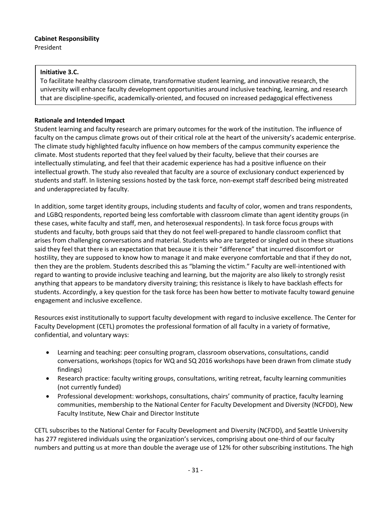# **Cabinet Responsibility**

President

# **Initiative 3.C.**

To facilitate healthy classroom climate, transformative student learning, and innovative research, the university will enhance faculty development opportunities around inclusive teaching, learning, and research that are discipline-specific, academically-oriented, and focused on increased pedagogical effectiveness

# **Rationale and Intended Impact**

Student learning and faculty research are primary outcomes for the work of the institution. The influence of faculty on the campus climate grows out of their critical role at the heart of the university's academic enterprise. The climate study highlighted faculty influence on how members of the campus community experience the climate. Most students reported that they feel valued by their faculty, believe that their courses are intellectually stimulating, and feel that their academic experience has had a positive influence on their intellectual growth. The study also revealed that faculty are a source of exclusionary conduct experienced by students and staff. In listening sessions hosted by the task force, non-exempt staff described being mistreated and underappreciated by faculty.

In addition, some target identity groups, including students and faculty of color, women and trans respondents, and LGBQ respondents, reported being less comfortable with classroom climate than agent identity groups (in these cases, white faculty and staff, men, and heterosexual respondents). In task force focus groups with students and faculty, both groups said that they do not feel well-prepared to handle classroom conflict that arises from challenging conversations and material. Students who are targeted or singled out in these situations said they feel that there is an expectation that because it is their "difference" that incurred discomfort or hostility, they are supposed to know how to manage it and make everyone comfortable and that if they do not, then they are the problem. Students described this as "blaming the victim." Faculty are well-intentioned with regard to wanting to provide inclusive teaching and learning, but the majority are also likely to strongly resist anything that appears to be mandatory diversity training; this resistance is likely to have backlash effects for students. Accordingly, a key question for the task force has been how better to motivate faculty toward genuine engagement and inclusive excellence.

Resources exist institutionally to support faculty development with regard to inclusive excellence. The Center for Faculty Development (CETL) promotes the professional formation of all faculty in a variety of formative, confidential, and voluntary ways:

- Learning and teaching: peer consulting program, classroom observations, consultations, candid conversations, workshops (topics for WQ and SQ 2016 workshops have been drawn from climate study findings)
- Research practice: faculty writing groups, consultations, writing retreat, faculty learning communities (not currently funded)
- Professional development: workshops, consultations, chairs' community of practice, faculty learning communities, membership to the National Center for Faculty Development and Diversity (NCFDD), New Faculty Institute, New Chair and Director Institute

CETL subscribes to the National Center for Faculty Development and Diversity (NCFDD), and Seattle University has 277 registered individuals using the organization's services, comprising about one-third of our faculty numbers and putting us at more than double the average use of 12% for other subscribing institutions. The high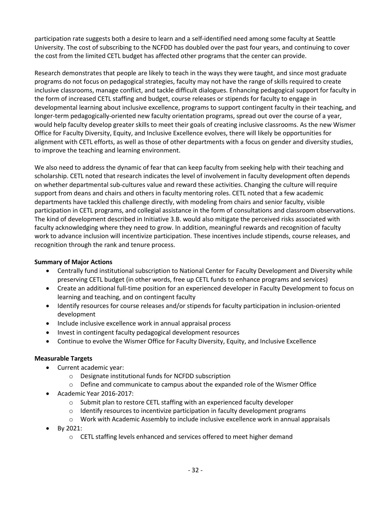participation rate suggests both a desire to learn and a self-identified need among some faculty at Seattle University. The cost of subscribing to the NCFDD has doubled over the past four years, and continuing to cover the cost from the limited CETL budget has affected other programs that the center can provide.

Research demonstrates that people are likely to teach in the ways they were taught, and since most graduate programs do not focus on pedagogical strategies, faculty may not have the range of skills required to create inclusive classrooms, manage conflict, and tackle difficult dialogues. Enhancing pedagogical support for faculty in the form of increased CETL staffing and budget, course releases or stipends for faculty to engage in developmental learning about inclusive excellence, programs to support contingent faculty in their teaching, and longer-term pedagogically-oriented new faculty orientation programs, spread out over the course of a year, would help faculty develop greater skills to meet their goals of creating inclusive classrooms. As the new Wismer Office for Faculty Diversity, Equity, and Inclusive Excellence evolves, there will likely be opportunities for alignment with CETL efforts, as well as those of other departments with a focus on gender and diversity studies, to improve the teaching and learning environment.

We also need to address the dynamic of fear that can keep faculty from seeking help with their teaching and scholarship. CETL noted that research indicates the level of involvement in faculty development often depends on whether departmental sub-cultures value and reward these activities. Changing the culture will require support from deans and chairs and others in faculty mentoring roles. CETL noted that a few academic departments have tackled this challenge directly, with modeling from chairs and senior faculty, visible participation in CETL programs, and collegial assistance in the form of consultations and classroom observations. The kind of development described in Initiative 3.B. would also mitigate the perceived risks associated with faculty acknowledging where they need to grow. In addition, meaningful rewards and recognition of faculty work to advance inclusion will incentivize participation. These incentives include stipends, course releases, and recognition through the rank and tenure process.

# **Summary of Major Actions**

- Centrally fund institutional subscription to National Center for Faculty Development and Diversity while preserving CETL budget (in other words, free up CETL funds to enhance programs and services)
- Create an additional full-time position for an experienced developer in Faculty Development to focus on learning and teaching, and on contingent faculty
- Identify resources for course releases and/or stipends for faculty participation in inclusion-oriented development
- Include inclusive excellence work in annual appraisal process
- Invest in contingent faculty pedagogical development resources
- Continue to evolve the Wismer Office for Faculty Diversity, Equity, and Inclusive Excellence

# **Measurable Targets**

- Current academic year:
	- o Designate institutional funds for NCFDD subscription
	- $\circ$  Define and communicate to campus about the expanded role of the Wismer Office
- Academic Year 2016-2017:
	- $\circ$  Submit plan to restore CETL staffing with an experienced faculty developer
	- o Identify resources to incentivize participation in faculty development programs
	- $\circ$  Work with Academic Assembly to include inclusive excellence work in annual appraisals
- By 2021:
	- $\circ$  CETL staffing levels enhanced and services offered to meet higher demand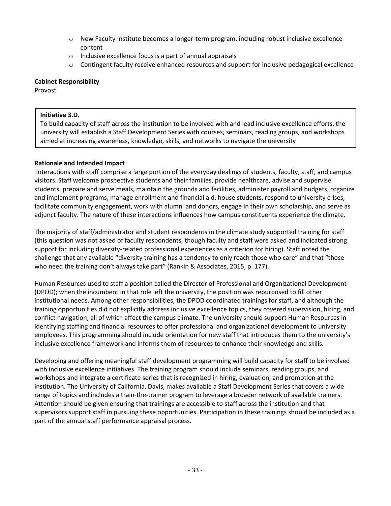- o New Faculty Institute becomes a longer-term program, including robust inclusive excellence content
- o Inclusive excellence focus is a part of annual appraisals
- o Contingent faculty receive enhanced resources and support for inclusive pedagogical excellence

#### **Cabinet Responsibility**

Provost

## **Initiative 3.D.**

To build capacity of staff across the institution to be involved with and lead inclusive excellence efforts, the university will establish a Staff Development Series with courses, seminars, reading groups, and workshops aimed at increasing awareness, knowledge, skills, and networks to navigate the university

## **Rationale and Intended Impact**

Interactions with staff comprise a large portion of the everyday dealings of students, faculty, staff, and campus visitors. Staff welcome prospective students and their families, provide healthcare, advise and supervise students, prepare and serve meals, maintain the grounds and facilities, administer payroll and budgets, organize and implement programs, manage enrollment and financial aid, house students, respond to university crises, facilitate community engagement, work with alumni and donors, engage in their own scholarship, and serve as adjunct faculty. The nature of these interactions influences how campus constituents experience the climate.

The majority of staff/administrator and student respondents in the climate study supported training for staff (this question was not asked of faculty respondents, though faculty and staff were asked and indicated strong support for including diversity-related professional experiences as a criterion for hiring). Staff noted the challenge that any available "diversity training has a tendency to only reach those who care" and that "those who need the training don't always take part" (Rankin & Associates, 2015, p. 177).

Human Resources used to staff a position called the Director of Professional and Organizational Development (DPOD); when the incumbent in that role left the university, the position was repurposed to fill other institutional needs. Among other responsibilities, the DPOD coordinated trainings for staff, and although the training opportunities did not explicitly address inclusive excellence topics, they covered supervision, hiring, and conflict navigation, all of which affect the campus climate. The university should support Human Resources in identifying staffing and financial resources to offer professional and organizational development to university employees. This programming should include orientation for new staff that introduces them to the university's inclusive excellence framework and informs them of resources to enhance their knowledge and skills.

Developing and offering meaningful staff development programming will build capacity for staff to be involved with inclusive excellence initiatives. The training program should include seminars, reading groups, and workshops and integrate a certificate series that is recognized in hiring, evaluation, and promotion at the institution. The University of California, Davis, makes available a Staff Development Series that covers a wide range of topics and includes a train-the-trainer program to leverage a broader network of available trainers. Attention should be given ensuring that trainings are accessible to staff across the institution and that supervisors support staff in pursuing these opportunities. Participation in these trainings should be included as a part of the annual staff performance appraisal process.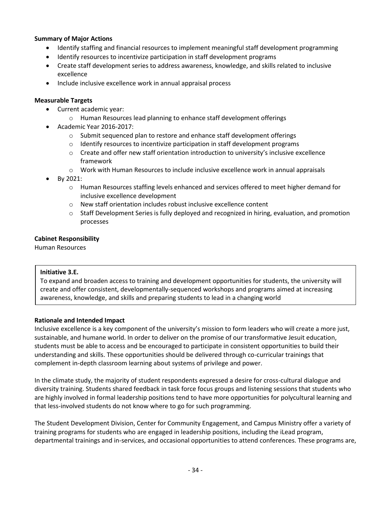## **Summary of Major Actions**

- Identify staffing and financial resources to implement meaningful staff development programming
- Identify resources to incentivize participation in staff development programs
- Create staff development series to address awareness, knowledge, and skills related to inclusive excellence
- Include inclusive excellence work in annual appraisal process

## **Measurable Targets**

- Current academic year:
	- o Human Resources lead planning to enhance staff development offerings
- Academic Year 2016-2017:
	- $\circ$  Submit sequenced plan to restore and enhance staff development offerings
	- o Identify resources to incentivize participation in staff development programs
	- $\circ$  Create and offer new staff orientation introduction to university's inclusive excellence framework
	- $\circ$  Work with Human Resources to include inclusive excellence work in annual appraisals
- By 2021:
	- o Human Resources staffing levels enhanced and services offered to meet higher demand for inclusive excellence development
	- o New staff orientation includes robust inclusive excellence content
	- o Staff Development Series is fully deployed and recognized in hiring, evaluation, and promotion processes

## **Cabinet Responsibility**

Human Resources

## **Initiative 3.E.**

To expand and broaden access to training and development opportunities for students, the university will create and offer consistent, developmentally-sequenced workshops and programs aimed at increasing awareness, knowledge, and skills and preparing students to lead in a changing world

## **Rationale and Intended Impact**

Inclusive excellence is a key component of the university's mission to form leaders who will create a more just, sustainable, and humane world. In order to deliver on the promise of our transformative Jesuit education, students must be able to access and be encouraged to participate in consistent opportunities to build their understanding and skills. These opportunities should be delivered through co-curricular trainings that complement in-depth classroom learning about systems of privilege and power.

In the climate study, the majority of student respondents expressed a desire for cross-cultural dialogue and diversity training. Students shared feedback in task force focus groups and listening sessions that students who are highly involved in formal leadership positions tend to have more opportunities for polycultural learning and that less-involved students do not know where to go for such programming.

The Student Development Division, Center for Community Engagement, and Campus Ministry offer a variety of training programs for students who are engaged in leadership positions, including the iLead program, departmental trainings and in-services, and occasional opportunities to attend conferences. These programs are,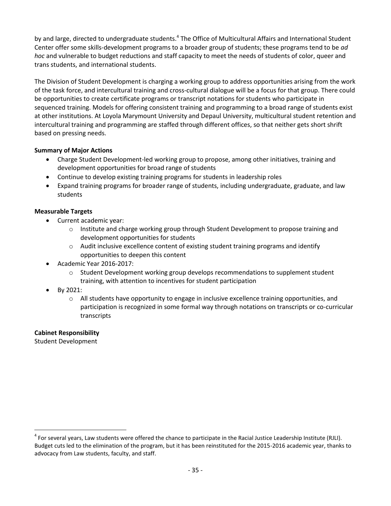by and large, directed to undergraduate students.<sup>4</sup> The Office of Multicultural Affairs and International Student Center offer some skills-development programs to a broader group of students; these programs tend to be *ad hoc* and vulnerable to budget reductions and staff capacity to meet the needs of students of color, queer and trans students, and international students.

The Division of Student Development is charging a working group to address opportunities arising from the work of the task force, and intercultural training and cross-cultural dialogue will be a focus for that group. There could be opportunities to create certificate programs or transcript notations for students who participate in sequenced training. Models for offering consistent training and programming to a broad range of students exist at other institutions. At Loyola Marymount University and Depaul University, multicultural student retention and intercultural training and programming are staffed through different offices, so that neither gets short shrift based on pressing needs.

# **Summary of Major Actions**

- Charge Student Development-led working group to propose, among other initiatives, training and development opportunities for broad range of students
- Continue to develop existing training programs for students in leadership roles
- Expand training programs for broader range of students, including undergraduate, graduate, and law students

# **Measurable Targets**

- Current academic year:
	- $\circ$  Institute and charge working group through Student Development to propose training and development opportunities for students
	- $\circ$  Audit inclusive excellence content of existing student training programs and identify opportunities to deepen this content
- Academic Year 2016-2017:
	- $\circ$  Student Development working group develops recommendations to supplement student training, with attention to incentives for student participation
- By 2021:
	- o All students have opportunity to engage in inclusive excellence training opportunities, and participation is recognized in some formal way through notations on transcripts or co-curricular transcripts

# **Cabinet Responsibility**

Student Development

 $\overline{a}$ 

<sup>&</sup>lt;sup>4</sup> For several years, Law students were offered the chance to participate in the Racial Justice Leadership Institute (RJLI). Budget cuts led to the elimination of the program, but it has been reinstituted for the 2015-2016 academic year, thanks to advocacy from Law students, faculty, and staff.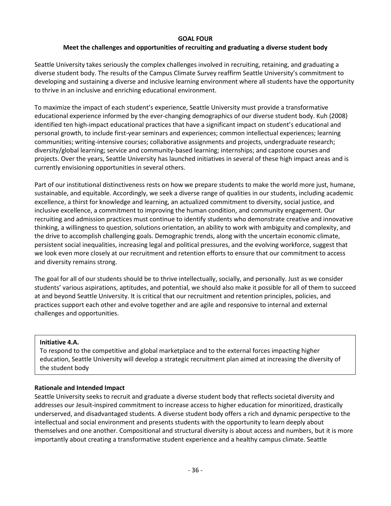## **GOAL FOUR**

# **Meet the challenges and opportunities of recruiting and graduating a diverse student body**

Seattle University takes seriously the complex challenges involved in recruiting, retaining, and graduating a diverse student body. The results of the Campus Climate Survey reaffirm Seattle University's commitment to developing and sustaining a diverse and inclusive learning environment where all students have the opportunity to thrive in an inclusive and enriching educational environment.

To maximize the impact of each student's experience, Seattle University must provide a transformative educational experience informed by the ever-changing demographics of our diverse student body. Kuh (2008) identified ten high-impact educational practices that have a significant impact on student's educational and personal growth, to include first-year seminars and experiences; common intellectual experiences; learning communities; writing-intensive courses; collaborative assignments and projects, undergraduate research; diversity/global learning; service and community-based learning; internships; and capstone courses and projects. Over the years, Seattle University has launched initiatives in several of these high impact areas and is currently envisioning opportunities in several others.

Part of our institutional distinctiveness rests on how we prepare students to make the world more just, humane, sustainable, and equitable. Accordingly, we seek a diverse range of qualities in our students, including academic excellence, a thirst for knowledge and learning, an actualized commitment to diversity, social justice, and inclusive excellence, a commitment to improving the human condition, and community engagement. Our recruiting and admission practices must continue to identify students who demonstrate creative and innovative thinking, a willingness to question, solutions orientation, an ability to work with ambiguity and complexity, and the drive to accomplish challenging goals. Demographic trends, along with the uncertain economic climate, persistent social inequalities, increasing legal and political pressures, and the evolving workforce, suggest that we look even more closely at our recruitment and retention efforts to ensure that our commitment to access and diversity remains strong.

The goal for all of our students should be to thrive intellectually, socially, and personally. Just as we consider students' various aspirations, aptitudes, and potential, we should also make it possible for all of them to succeed at and beyond Seattle University. It is critical that our recruitment and retention principles, policies, and practices support each other and evolve together and are agile and responsive to internal and external challenges and opportunities.

# **Initiative 4.A.**

To respond to the competitive and global marketplace and to the external forces impacting higher education, Seattle University will develop a strategic recruitment plan aimed at increasing the diversity of the student body

# **Rationale and Intended Impact**

Seattle University seeks to recruit and graduate a diverse student body that reflects societal diversity and addresses our Jesuit-inspired commitment to increase access to higher education for minoritized, drastically underserved, and disadvantaged students. A diverse student body offers a rich and dynamic perspective to the intellectual and social environment and presents students with the opportunity to learn deeply about themselves and one another. Compositional and structural diversity is about access and numbers, but it is more importantly about creating a transformative student experience and a healthy campus climate. Seattle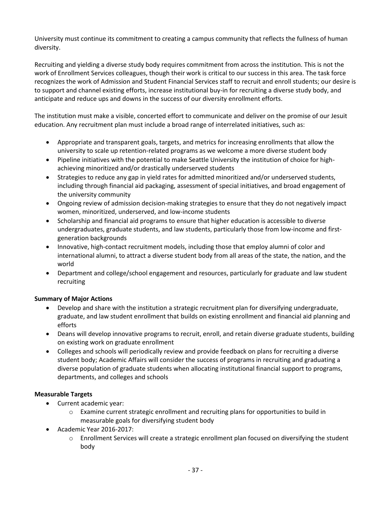University must continue its commitment to creating a campus community that reflects the fullness of human diversity.

Recruiting and yielding a diverse study body requires commitment from across the institution. This is not the work of Enrollment Services colleagues, though their work is critical to our success in this area. The task force recognizes the work of Admission and Student Financial Services staff to recruit and enroll students; our desire is to support and channel existing efforts, increase institutional buy-in for recruiting a diverse study body, and anticipate and reduce ups and downs in the success of our diversity enrollment efforts.

The institution must make a visible, concerted effort to communicate and deliver on the promise of our Jesuit education. Any recruitment plan must include a broad range of interrelated initiatives, such as:

- Appropriate and transparent goals, targets, and metrics for increasing enrollments that allow the university to scale up retention-related programs as we welcome a more diverse student body
- Pipeline initiatives with the potential to make Seattle University the institution of choice for highachieving minoritized and/or drastically underserved students
- Strategies to reduce any gap in yield rates for admitted minoritized and/or underserved students, including through financial aid packaging, assessment of special initiatives, and broad engagement of the university community
- Ongoing review of admission decision-making strategies to ensure that they do not negatively impact women, minoritized, underserved, and low-income students
- Scholarship and financial aid programs to ensure that higher education is accessible to diverse undergraduates, graduate students, and law students, particularly those from low-income and firstgeneration backgrounds
- Innovative, high-contact recruitment models, including those that employ alumni of color and international alumni, to attract a diverse student body from all areas of the state, the nation, and the world
- Department and college/school engagement and resources, particularly for graduate and law student recruiting

# **Summary of Major Actions**

- Develop and share with the institution a strategic recruitment plan for diversifying undergraduate, graduate, and law student enrollment that builds on existing enrollment and financial aid planning and efforts
- Deans will develop innovative programs to recruit, enroll, and retain diverse graduate students, building on existing work on graduate enrollment
- Colleges and schools will periodically review and provide feedback on plans for recruiting a diverse student body; Academic Affairs will consider the success of programs in recruiting and graduating a diverse population of graduate students when allocating institutional financial support to programs, departments, and colleges and schools

# **Measurable Targets**

- Current academic year:
	- o Examine current strategic enrollment and recruiting plans for opportunities to build in measurable goals for diversifying student body
- Academic Year 2016-2017:
	- $\circ$  Enrollment Services will create a strategic enrollment plan focused on diversifying the student body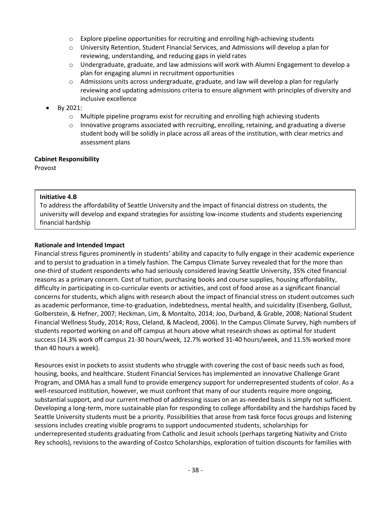- $\circ$  Explore pipeline opportunities for recruiting and enrolling high-achieving students
- o University Retention, Student Financial Services, and Admissions will develop a plan for reviewing, understanding, and reducing gaps in yield rates
- $\circ$  Undergraduate, graduate, and law admissions will work with Alumni Engagement to develop a plan for engaging alumni in recruitment opportunities
- $\circ$  Admissions units across undergraduate, graduate, and law will develop a plan for regularly reviewing and updating admissions criteria to ensure alignment with principles of diversity and inclusive excellence
- By 2021:
	- $\circ$  Multiple pipeline programs exist for recruiting and enrolling high achieving students
	- $\circ$  Innovative programs associated with recruiting, enrolling, retaining, and graduating a diverse student body will be solidly in place across all areas of the institution, with clear metrics and assessment plans

## **Cabinet Responsibility**

Provost

## **Initiative 4.B**

To address the affordability of Seattle University and the impact of financial distress on students, the university will develop and expand strategies for assisting low-income students and students experiencing financial hardship

## **Rationale and Intended Impact**

Financial stress figures prominently in students' ability and capacity to fully engage in their academic experience and to persist to graduation in a timely fashion. The Campus Climate Survey revealed that for the more than one-third of student respondents who had seriously considered leaving Seattle University, 35% cited financial reasons as a primary concern. Cost of tuition, purchasing books and course supplies, housing affordability, difficulty in participating in co-curricular events or activities, and cost of food arose as a significant financial concerns for students, which aligns with research about the impact of financial stress on student outcomes such as academic performance, time-to-graduation, indebtedness, mental health, and suicidality (Eisenberg, Gollust, Golberstein, & Hefner, 2007; Heckman, Lim, & Montalto, 2014; Joo, Durband, & Grable, 2008; National Student Financial Wellness Study, 2014; Ross, Cleland, & Macleod, 2006). In the Campus Climate Survey, high numbers of students reported working on and off campus at hours above what research shows as optimal for student success (14.3% work off campus 21-30 hours/week, 12.7% worked 31-40 hours/week, and 11.5% worked more than 40 hours a week).

Resources exist in pockets to assist students who struggle with covering the cost of basic needs such as food, housing, books, and healthcare. Student Financial Services has implemented an innovative Challenge Grant Program, and OMA has a small fund to provide emergency support for underrepresented students of color. As a well-resourced institution, however, we must confront that many of our students require more ongoing, substantial support, and our current method of addressing issues on an as-needed basis is simply not sufficient. Developing a long-term, more sustainable plan for responding to college affordability and the hardships faced by Seattle University students must be a priority. Possibilities that arose from task force focus groups and listening sessions includes creating visible programs to support undocumented students, scholarships for underrepresented students graduating from Catholic and Jesuit schools (perhaps targeting Nativity and Cristo Rey schools), revisions to the awarding of Costco Scholarships, exploration of tuition discounts for families with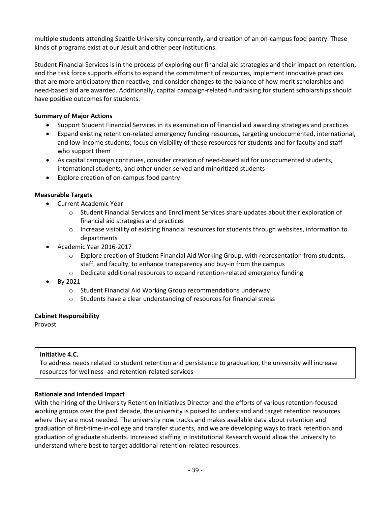multiple students attending Seattle University concurrently, and creation of an on-campus food pantry. These kinds of programs exist at our Jesuit and other peer institutions.

Student Financial Services is in the process of exploring our financial aid strategies and their impact on retention, and the task force supports efforts to expand the commitment of resources, implement innovative practices that are more anticipatory than reactive, and consider changes to the balance of how merit scholarships and need-based aid are awarded. Additionally, capital campaign-related fundraising for student scholarships should have positive outcomes for students.

# **Summary of Major Actions**

- Support Student Financial Services in its examination of financial aid awarding strategies and practices
- Expand existing retention-related emergency funding resources, targeting undocumented, international, and low-income students; focus on visibility of these resources for students and for faculty and staff who support them
- As capital campaign continues, consider creation of need-based aid for undocumented students, international students, and other under-served and minoritized students
- Explore creation of on-campus food pantry

# **Measurable Targets**

- Current Academic Year
	- o Student Financial Services and Enrollment Services share updates about their exploration of financial aid strategies and practices
	- $\circ$  Increase visibility of existing financial resources for students through websites, information to departments
- Academic Year 2016-2017
	- $\circ$  Explore creation of Student Financial Aid Working Group, with representation from students, staff, and faculty, to enhance transparency and buy-in from the campus
	- $\circ$  Dedicate additional resources to expand retention-related emergency funding
- By 2021
	- o Student Financial Aid Working Group recommendations underway
	- o Students have a clear understanding of resources for financial stress

# **Cabinet Responsibility**

Provost

# **Initiative 4.C.**

To address needs related to student retention and persistence to graduation, the university will increase resources for wellness- and retention-related services

# **Rationale and Intended Impact**

With the hiring of the University Retention Initiatives Director and the efforts of various retention-focused working groups over the past decade, the university is poised to understand and target retention resources where they are most needed. The university now tracks and makes available data about retention and graduation of first-time-in-college and transfer students, and we are developing ways to track retention and graduation of graduate students. Increased staffing in Institutional Research would allow the university to understand where best to target additional retention-related resources.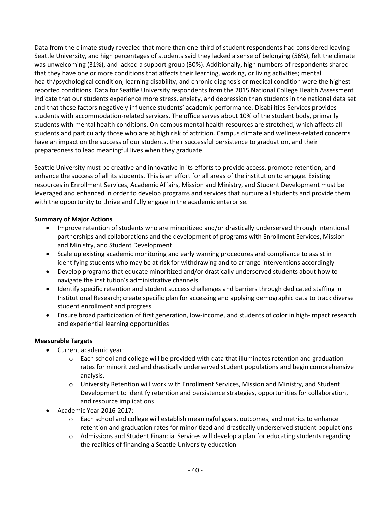Data from the climate study revealed that more than one-third of student respondents had considered leaving Seattle University, and high percentages of students said they lacked a sense of belonging (56%), felt the climate was unwelcoming (31%), and lacked a support group (30%). Additionally, high numbers of respondents shared that they have one or more conditions that affects their learning, working, or living activities; mental health/psychological condition, learning disability, and chronic diagnosis or medical condition were the highestreported conditions. Data for Seattle University respondents from the 2015 National College Health Assessment indicate that our students experience more stress, anxiety, and depression than students in the national data set and that these factors negatively influence students' academic performance. Disabilities Services provides students with accommodation-related services. The office serves about 10% of the student body, primarily students with mental health conditions. On-campus mental health resources are stretched, which affects all students and particularly those who are at high risk of attrition. Campus climate and wellness-related concerns have an impact on the success of our students, their successful persistence to graduation, and their preparedness to lead meaningful lives when they graduate.

Seattle University must be creative and innovative in its efforts to provide access, promote retention, and enhance the success of all its students. This is an effort for all areas of the institution to engage. Existing resources in Enrollment Services, Academic Affairs, Mission and Ministry, and Student Development must be leveraged and enhanced in order to develop programs and services that nurture all students and provide them with the opportunity to thrive and fully engage in the academic enterprise.

# **Summary of Major Actions**

- Improve retention of students who are minoritized and/or drastically underserved through intentional partnerships and collaborations and the development of programs with Enrollment Services, Mission and Ministry, and Student Development
- Scale up existing academic monitoring and early warning procedures and compliance to assist in identifying students who may be at risk for withdrawing and to arrange interventions accordingly
- Develop programs that educate minoritized and/or drastically underserved students about how to navigate the institution's administrative channels
- Identify specific retention and student success challenges and barriers through dedicated staffing in Institutional Research; create specific plan for accessing and applying demographic data to track diverse student enrollment and progress
- Ensure broad participation of first generation, low-income, and students of color in high-impact research and experiential learning opportunities

# **Measurable Targets**

- Current academic year:
	- $\circ$  Each school and college will be provided with data that illuminates retention and graduation rates for minoritized and drastically underserved student populations and begin comprehensive analysis.
	- o University Retention will work with Enrollment Services, Mission and Ministry, and Student Development to identify retention and persistence strategies, opportunities for collaboration, and resource implications
- Academic Year 2016-2017:
	- $\circ$  Each school and college will establish meaningful goals, outcomes, and metrics to enhance retention and graduation rates for minoritized and drastically underserved student populations
	- $\circ$  Admissions and Student Financial Services will develop a plan for educating students regarding the realities of financing a Seattle University education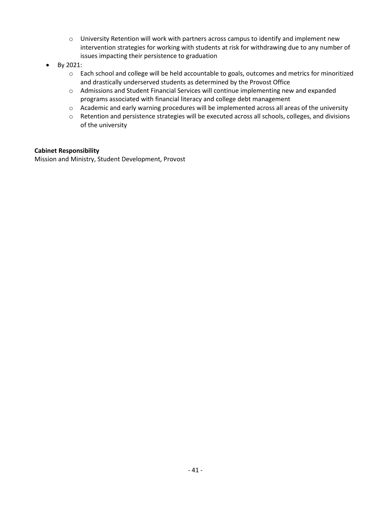- $\circ$  University Retention will work with partners across campus to identify and implement new intervention strategies for working with students at risk for withdrawing due to any number of issues impacting their persistence to graduation
- By 2021:
	- o Each school and college will be held accountable to goals, outcomes and metrics for minoritized and drastically underserved students as determined by the Provost Office
	- o Admissions and Student Financial Services will continue implementing new and expanded programs associated with financial literacy and college debt management
	- o Academic and early warning procedures will be implemented across all areas of the university
	- o Retention and persistence strategies will be executed across all schools, colleges, and divisions of the university

## **Cabinet Responsibility**

Mission and Ministry, Student Development, Provost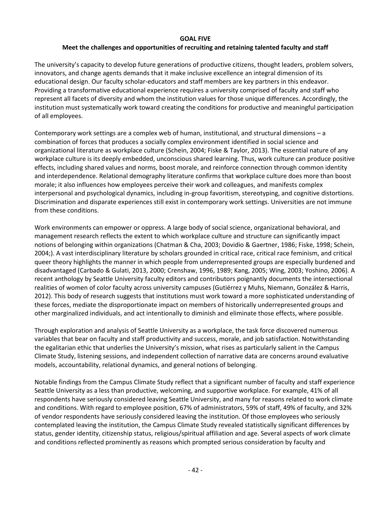#### **GOAL FIVE**

# **Meet the challenges and opportunities of recruiting and retaining talented faculty and staff**

The university's capacity to develop future generations of productive citizens, thought leaders, problem solvers, innovators, and change agents demands that it make inclusive excellence an integral dimension of its educational design. Our faculty scholar-educators and staff members are key partners in this endeavor. Providing a transformative educational experience requires a university comprised of faculty and staff who represent all facets of diversity and whom the institution values for those unique differences. Accordingly, the institution must systematically work toward creating the conditions for productive and meaningful participation of all employees.

Contemporary work settings are a complex web of human, institutional, and structural dimensions – a combination of forces that produces a socially complex environment identified in social science and organizational literature as workplace culture (Schein, 2004; Fiske & Taylor, 2013). The essential nature of any workplace culture is its deeply embedded, unconscious shared learning. Thus, work culture can produce positive effects, including shared values and norms, boost morale, and reinforce connection through common identity and interdependence. Relational demography literature confirms that workplace culture does more than boost morale; it also influences how employees perceive their work and colleagues, and manifests complex interpersonal and psychological dynamics, including in-group favoritism, stereotyping, and cognitive distortions. Discrimination and disparate experiences still exist in contemporary work settings. Universities are not immune from these conditions.

Work environments can empower or oppress. A large body of social science, organizational behavioral, and management research reflects the extent to which workplace culture and structure can significantly impact notions of belonging within organizations (Chatman & Cha, 2003; Dovidio & Gaertner, 1986; Fiske, 1998; Schein, 2004;). A vast interdisciplinary literature by scholars grounded in critical race, critical race feminism, and critical queer theory highlights the manner in which people from underrepresented groups are especially burdened and disadvantaged (Carbado & Gulati, 2013, 2000; Crenshaw, 1996, 1989; Kang, 2005; Wing, 2003; Yoshino, 2006). A recent anthology by Seattle University faculty editors and contributors poignantly documents the intersectional realities of women of color faculty across university campuses (Gutiérrez y Muhs, Niemann, González & Harris, 2012). This body of research suggests that institutions must work toward a more sophisticated understanding of these forces, mediate the disproportionate impact on members of historically underrepresented groups and other marginalized individuals, and act intentionally to diminish and eliminate those effects, where possible.

Through exploration and analysis of Seattle University as a workplace, the task force discovered numerous variables that bear on faculty and staff productivity and success, morale, and job satisfaction. Notwithstanding the egalitarian ethic that underlies the University's mission, what rises as particularly salient in the Campus Climate Study, listening sessions, and independent collection of narrative data are concerns around evaluative models, accountability, relational dynamics, and general notions of belonging.

Notable findings from the Campus Climate Study reflect that a significant number of faculty and staff experience Seattle University as a less than productive, welcoming, and supportive workplace. For example, 41% of all respondents have seriously considered leaving Seattle University, and many for reasons related to work climate and conditions. With regard to employee position, 67% of administrators, 59% of staff, 49% of faculty, and 32% of vendor respondents have seriously considered leaving the institution. Of those employees who seriously contemplated leaving the institution, the Campus Climate Study revealed statistically significant differences by status, gender identity, citizenship status, religious/spiritual affiliation and age. Several aspects of work climate and conditions reflected prominently as reasons which prompted serious consideration by faculty and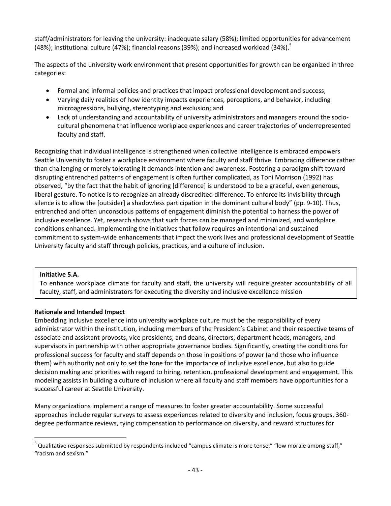staff/administrators for leaving the university: inadequate salary (58%); limited opportunities for advancement (48%); institutional culture (47%); financial reasons (39%); and increased workload (34%).<sup>5</sup>

The aspects of the university work environment that present opportunities for growth can be organized in three categories:

- Formal and informal policies and practices that impact professional development and success;
- Varying daily realities of how identity impacts experiences, perceptions, and behavior, including microagressions, bullying, stereotyping and exclusion; and
- Lack of understanding and accountability of university administrators and managers around the sociocultural phenomena that influence workplace experiences and career trajectories of underrepresented faculty and staff.

Recognizing that individual intelligence is strengthened when collective intelligence is embraced empowers Seattle University to foster a workplace environment where faculty and staff thrive. Embracing difference rather than challenging or merely tolerating it demands intention and awareness. Fostering a paradigm shift toward disrupting entrenched patterns of engagement is often further complicated, as Toni Morrison (1992) has observed, "by the fact that the habit of ignoring [difference] is understood to be a graceful, even generous, liberal gesture. To notice is to recognize an already discredited difference. To enforce its invisibility through silence is to allow the [outsider] a shadowless participation in the dominant cultural body" (pp. 9-10). Thus, entrenched and often unconscious patterns of engagement diminish the potential to harness the power of inclusive excellence. Yet, research shows that such forces can be managed and minimized, and workplace conditions enhanced. Implementing the initiatives that follow requires an intentional and sustained commitment to system-wide enhancements that impact the work lives and professional development of Seattle University faculty and staff through policies, practices, and a culture of inclusion.

# **Initiative 5.A.**

 $\overline{a}$ 

To enhance workplace climate for faculty and staff, the university will require greater accountability of all faculty, staff, and administrators for executing the diversity and inclusive excellence mission

# **Rationale and Intended Impact**

Embedding inclusive excellence into university workplace culture must be the responsibility of every administrator within the institution, including members of the President's Cabinet and their respective teams of associate and assistant provosts, vice presidents, and deans, directors, department heads, managers, and supervisors in partnership with other appropriate governance bodies. Significantly, creating the conditions for professional success for faculty and staff depends on those in positions of power (and those who influence them) with authority not only to set the tone for the importance of inclusive excellence, but also to guide decision making and priorities with regard to hiring, retention, professional development and engagement. This modeling assists in building a culture of inclusion where all faculty and staff members have opportunities for a successful career at Seattle University.

Many organizations implement a range of measures to foster greater accountability. Some successful approaches include regular surveys to assess experiences related to diversity and inclusion, focus groups, 360 degree performance reviews, tying compensation to performance on diversity, and reward structures for

<sup>&</sup>lt;sup>5</sup> Qualitative responses submitted by respondents included "campus climate is more tense," "low morale among staff," "racism and sexism."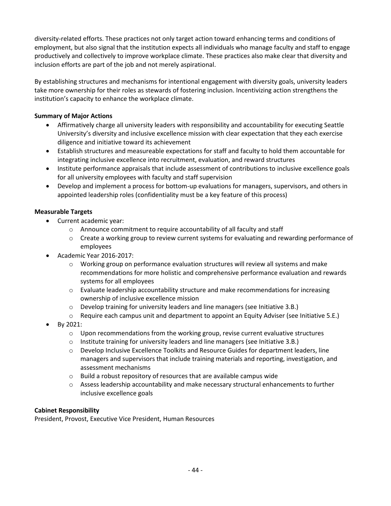diversity-related efforts. These practices not only target action toward enhancing terms and conditions of employment, but also signal that the institution expects all individuals who manage faculty and staff to engage productively and collectively to improve workplace climate. These practices also make clear that diversity and inclusion efforts are part of the job and not merely aspirational.

By establishing structures and mechanisms for intentional engagement with diversity goals, university leaders take more ownership for their roles as stewards of fostering inclusion. Incentivizing action strengthens the institution's capacity to enhance the workplace climate.

# **Summary of Major Actions**

- Affirmatively charge all university leaders with responsibility and accountability for executing Seattle University's diversity and inclusive excellence mission with clear expectation that they each exercise diligence and initiative toward its achievement
- Establish structures and measureable expectations for staff and faculty to hold them accountable for integrating inclusive excellence into recruitment, evaluation, and reward structures
- Institute performance appraisals that include assessment of contributions to inclusive excellence goals for all university employees with faculty and staff supervision
- Develop and implement a process for bottom-up evaluations for managers, supervisors, and others in appointed leadership roles (confidentiality must be a key feature of this process)

# **Measurable Targets**

- Current academic year:
	- o Announce commitment to require accountability of all faculty and staff
	- o Create a working group to review current systems for evaluating and rewarding performance of employees
- Academic Year 2016-2017:
	- $\circ$  Working group on performance evaluation structures will review all systems and make recommendations for more holistic and comprehensive performance evaluation and rewards systems for all employees
	- $\circ$  Evaluate leadership accountability structure and make recommendations for increasing ownership of inclusive excellence mission
	- $\circ$  Develop training for university leaders and line managers (see Initiative 3.B.)
	- $\circ$  Require each campus unit and department to appoint an Equity Adviser (see Initiative 5.E.)
- By 2021:
	- $\circ$  Upon recommendations from the working group, revise current evaluative structures
	- $\circ$  Institute training for university leaders and line managers (see Initiative 3.B.)
	- o Develop Inclusive Excellence Toolkits and Resource Guides for department leaders, line managers and supervisors that include training materials and reporting, investigation, and assessment mechanisms
	- o Build a robust repository of resources that are available campus wide
	- o Assess leadership accountability and make necessary structural enhancements to further inclusive excellence goals

# **Cabinet Responsibility**

President, Provost, Executive Vice President, Human Resources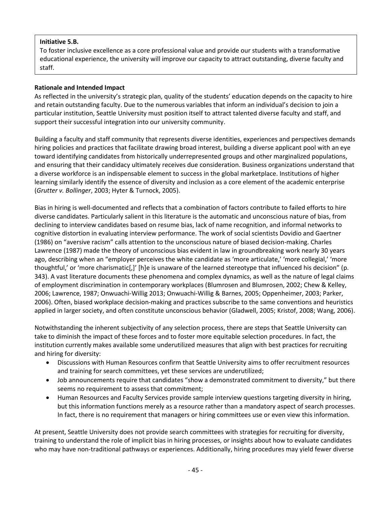# **Initiative 5.B.**

To foster inclusive excellence as a core professional value and provide our students with a transformative educational experience, the university will improve our capacity to attract outstanding, diverse faculty and staff.

# **Rationale and Intended Impact**

As reflected in the university's strategic plan, quality of the students' education depends on the capacity to hire and retain outstanding faculty. Due to the numerous variables that inform an individual's decision to join a particular institution, Seattle University must position itself to attract talented diverse faculty and staff, and support their successful integration into our university community.

Building a faculty and staff community that represents diverse identities, experiences and perspectives demands hiring policies and practices that facilitate drawing broad interest, building a diverse applicant pool with an eye toward identifying candidates from historically underrepresented groups and other marginalized populations, and ensuring that their candidacy ultimately receives due consideration. Business organizations understand that a diverse workforce is an indispensable element to success in the global marketplace. Institutions of higher learning similarly identify the essence of diversity and inclusion as a core element of the academic enterprise (*Grutter v. Bollinger*, 2003; Hyter & Turnock, 2005).

Bias in hiring is well-documented and reflects that a combination of factors contribute to failed efforts to hire diverse candidates. Particularly salient in this literature is the automatic and unconscious nature of bias, from declining to interview candidates based on resume bias, lack of name recognition, and informal networks to cognitive distortion in evaluating interview performance. The work of social scientists Dovidio and Gaertner (1986) on "aversive racism" calls attention to the unconscious nature of biased decision-making. Charles Lawrence (1987) made the theory of unconscious bias evident in law in groundbreaking work nearly 30 years ago, describing when an "employer perceives the white candidate as 'more articulate,' 'more collegial,' 'more thoughtful,' or 'more charismatic[,]' [h]e is unaware of the learned stereotype that influenced his decision" (p. 343). A vast literature documents these phenomena and complex dynamics, as well as the nature of legal claims of employment discrimination in contemporary workplaces (Blumrosen and Blumrosen, 2002; Chew & Kelley, 2006; Lawrence, 1987; Onwuachi-Willig 2013; Onwuachi-Willig & Barnes, 2005; Oppenheimer, 2003; Parker, 2006). Often, biased workplace decision-making and practices subscribe to the same conventions and heuristics applied in larger society, and often constitute unconscious behavior (Gladwell, 2005; Kristof, 2008; Wang, 2006).

Notwithstanding the inherent subjectivity of any selection process, there are steps that Seattle University can take to diminish the impact of these forces and to foster more equitable selection procedures. In fact, the institution currently makes available some underutilized measures that align with best practices for recruiting and hiring for diversity:

- Discussions with Human Resources confirm that Seattle University aims to offer recruitment resources and training for search committees, yet these services are underutilized;
- Job announcements require that candidates "show a demonstrated commitment to diversity," but there seems no requirement to assess that commitment;
- Human Resources and Faculty Services provide sample interview questions targeting diversity in hiring, but this information functions merely as a resource rather than a mandatory aspect of search processes. In fact, there is no requirement that managers or hiring committees use or even view this information.

At present, Seattle University does not provide search committees with strategies for recruiting for diversity, training to understand the role of implicit bias in hiring processes, or insights about how to evaluate candidates who may have non-traditional pathways or experiences. Additionally, hiring procedures may yield fewer diverse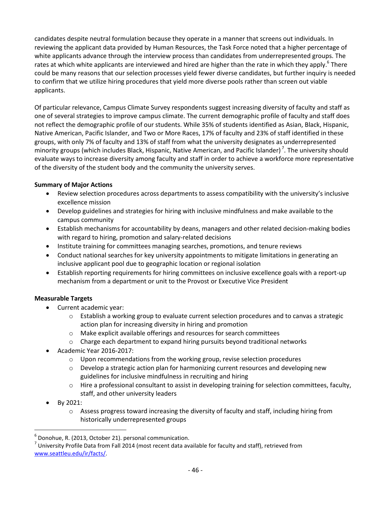candidates despite neutral formulation because they operate in a manner that screens out individuals. In reviewing the applicant data provided by Human Resources, the Task Force noted that a higher percentage of white applicants advance through the interview process than candidates from underrepresented groups. The rates at which white applicants are interviewed and hired are higher than the rate in which they apply.<sup>6</sup> There could be many reasons that our selection processes yield fewer diverse candidates, but further inquiry is needed to confirm that we utilize hiring procedures that yield more diverse pools rather than screen out viable applicants.

Of particular relevance, Campus Climate Survey respondents suggest increasing diversity of faculty and staff as one of several strategies to improve campus climate. The current demographic profile of faculty and staff does not reflect the demographic profile of our students. While 35% of students identified as Asian, Black, Hispanic, Native American, Pacific Islander, and Two or More Races, 17% of faculty and 23% of staff identified in these groups, with only 7% of faculty and 13% of staff from what the university designates as underrepresented minority groups (which includes Black, Hispanic, Native American, and Pacific Islander)<sup>7</sup>. The university should evaluate ways to increase diversity among faculty and staff in order to achieve a workforce more representative of the diversity of the student body and the community the university serves.

# **Summary of Major Actions**

- Review selection procedures across departments to assess compatibility with the university's inclusive excellence mission
- Develop guidelines and strategies for hiring with inclusive mindfulness and make available to the campus community
- Establish mechanisms for accountability by deans, managers and other related decision-making bodies with regard to hiring, promotion and salary-related decisions
- Institute training for committees managing searches, promotions, and tenure reviews
- Conduct national searches for key university appointments to mitigate limitations in generating an inclusive applicant pool due to geographic location or regional isolation
- Establish reporting requirements for hiring committees on inclusive excellence goals with a report-up mechanism from a department or unit to the Provost or Executive Vice President

# **Measurable Targets**

- Current academic year:
	- $\circ$  Establish a working group to evaluate current selection procedures and to canvas a strategic action plan for increasing diversity in hiring and promotion
	- o Make explicit available offerings and resources for search committees
	- $\circ$  Charge each department to expand hiring pursuits beyond traditional networks
- Academic Year 2016-2017:
	- $\circ$  Upon recommendations from the working group, revise selection procedures
	- $\circ$  Develop a strategic action plan for harmonizing current resources and developing new guidelines for inclusive mindfulness in recruiting and hiring
	- o Hire a professional consultant to assist in developing training for selection committees, faculty, staff, and other university leaders
- By 2021:

 $\overline{a}$ 

 $\circ$  Assess progress toward increasing the diversity of faculty and staff, including hiring from historically underrepresented groups

<sup>6</sup> Donohue, R. (2013, October 21). personal communication.

 $^7$  University Profile Data from Fall 2014 (most recent data available for faculty and staff), retrieved from [www.seattleu.edu/ir/facts/.](http://www.seattleu.edu/ir/facts/)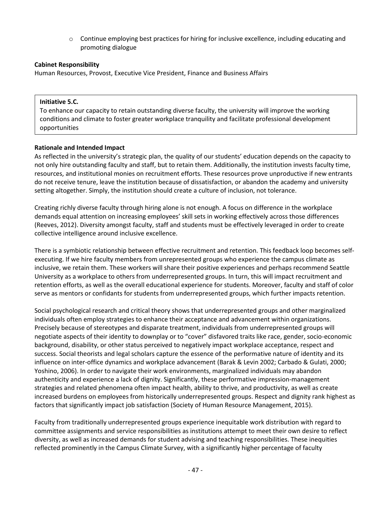$\circ$  Continue employing best practices for hiring for inclusive excellence, including educating and promoting dialogue

# **Cabinet Responsibility**

Human Resources, Provost, Executive Vice President, Finance and Business Affairs

## **Initiative 5.C.**

To enhance our capacity to retain outstanding diverse faculty, the university will improve the working conditions and climate to foster greater workplace tranquility and facilitate professional development opportunities

## **Rationale and Intended Impact**

As reflected in the university's strategic plan, the quality of our students' education depends on the capacity to not only hire outstanding faculty and staff, but to retain them. Additionally, the institution invests faculty time, resources, and institutional monies on recruitment efforts. These resources prove unproductive if new entrants do not receive tenure, leave the institution because of dissatisfaction, or abandon the academy and university setting altogether. Simply, the institution should create a culture of inclusion, not tolerance.

Creating richly diverse faculty through hiring alone is not enough. A focus on difference in the workplace demands equal attention on increasing employees' skill sets in working effectively across those differences (Reeves, 2012). Diversity amongst faculty, staff and students must be effectively leveraged in order to create collective intelligence around inclusive excellence.

There is a symbiotic relationship between effective recruitment and retention. This feedback loop becomes selfexecuting. If we hire faculty members from unrepresented groups who experience the campus climate as inclusive, we retain them. These workers will share their positive experiences and perhaps recommend Seattle University as a workplace to others from underrepresented groups. In turn, this will impact recruitment and retention efforts, as well as the overall educational experience for students. Moreover, faculty and staff of color serve as mentors or confidants for students from underrepresented groups, which further impacts retention.

Social psychological research and critical theory shows that underrepresented groups and other marginalized individuals often employ strategies to enhance their acceptance and advancement within organizations. Precisely because of stereotypes and disparate treatment, individuals from underrepresented groups will negotiate aspects of their identity to downplay or to "cover" disfavored traits like race, gender, socio-economic background, disability, or other status perceived to negatively impact workplace acceptance, respect and success. Social theorists and legal scholars capture the essence of the performative nature of identity and its influence on inter-office dynamics and workplace advancement (Barak & Levin 2002; Carbado & Gulati, 2000; Yoshino, 2006). In order to navigate their work environments, marginalized individuals may abandon authenticity and experience a lack of dignity. Significantly, these performative impression-management strategies and related phenomena often impact health, ability to thrive, and productivity, as well as create increased burdens on employees from historically underrepresented groups. Respect and dignity rank highest as factors that significantly impact job satisfaction (Society of Human Resource Management, 2015).

Faculty from traditionally underrepresented groups experience inequitable work distribution with regard to committee assignments and service responsibilities as institutions attempt to meet their own desire to reflect diversity, as well as increased demands for student advising and teaching responsibilities. These inequities reflected prominently in the Campus Climate Survey, with a significantly higher percentage of faculty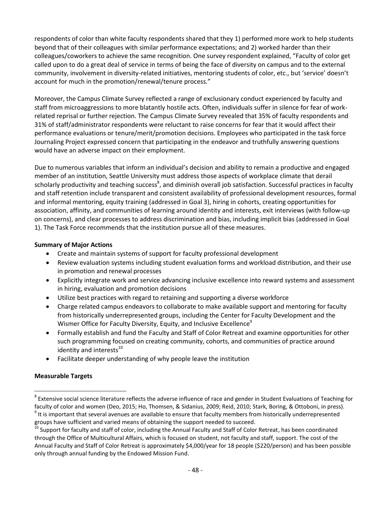respondents of color than white faculty respondents shared that they 1) performed more work to help students beyond that of their colleagues with similar performance expectations; and 2) worked harder than their colleagues/coworkers to achieve the same recognition. One survey respondent explained, "Faculty of color get called upon to do a great deal of service in terms of being the face of diversity on campus and to the external community, involvement in diversity-related initiatives, mentoring students of color, etc., but 'service' doesn't account for much in the promotion/renewal/tenure process."

Moreover, the Campus Climate Survey reflected a range of exclusionary conduct experienced by faculty and staff from microaggressions to more blatantly hostile acts. Often, individuals suffer in silence for fear of workrelated reprisal or further rejection. The Campus Climate Survey revealed that 35% of faculty respondents and 31% of staff/administrator respondents were reluctant to raise concerns for fear that it would affect their performance evaluations or tenure/merit/promotion decisions. Employees who participated in the task force Journaling Project expressed concern that participating in the endeavor and truthfully answering questions would have an adverse impact on their employment.

Due to numerous variables that inform an individual's decision and ability to remain a productive and engaged member of an institution, Seattle University must address those aspects of workplace climate that derail scholarly productivity and teaching success<sup>8</sup>, and diminish overall job satisfaction. Successful practices in faculty and staff retention include transparent and consistent availability of professional development resources, formal and informal mentoring, equity training (addressed in Goal 3), hiring in cohorts, creating opportunities for association, affinity, and communities of learning around identity and interests, exit interviews (with follow-up on concerns), and clear processes to address discrimination and bias, including implicit bias (addressed in Goal 1). The Task Force recommends that the institution pursue all of these measures.

## **Summary of Major Actions**

- Create and maintain systems of support for faculty professional development
- Review evaluation systems including student evaluation forms and workload distribution, and their use in promotion and renewal processes
- Explicitly integrate work and service advancing inclusive excellence into reward systems and assessment in hiring, evaluation and promotion decisions
- Utilize best practices with regard to retaining and supporting a diverse workforce
- Charge related campus endeavors to collaborate to make available support and mentoring for faculty from historically underrepresented groups, including the Center for Faculty Development and the Wismer Office for Faculty Diversity, Equity, and Inclusive Excellence<sup>9</sup>
- Formally establish and fund the Faculty and Staff of Color Retreat and examine opportunities for other such programming focused on creating community, cohorts, and communities of practice around identity and interests $^{10}$
- Facilitate deeper understanding of why people leave the institution

# **Measurable Targets**

 $\overline{a}$ 

 $^8$  Extensive social science literature reflects the adverse influence of race and gender in Student Evaluations of Teaching for faculty of color and women (Deo, 2015; Ho, Thomsen, & Sidanius, 2009; Reid, 2010; Stark, Boring, & Ottoboni, in press).

 $9$  It is important that several avenues are available to ensure that faculty members from historically underrepresented groups have sufficient and varied means of obtaining the support needed to succeed.

<sup>&</sup>lt;sup>10</sup> Support for faculty and staff of color, including the Annual Faculty and Staff of Color Retreat, has been coordinated through the Office of Multicultural Affairs, which is focused on student, not faculty and staff, support. The cost of the Annual Faculty and Staff of Color Retreat is approximately \$4,000/year for 18 people (\$220/person) and has been possible only through annual funding by the Endowed Mission Fund.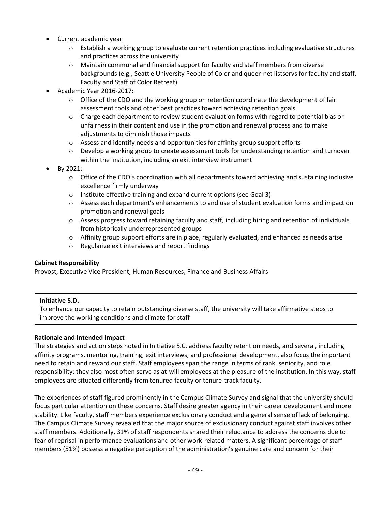- Current academic year:
	- o Establish a working group to evaluate current retention practices including evaluative structures and practices across the university
	- $\circ$  Maintain communal and financial support for faculty and staff members from diverse backgrounds (e.g., Seattle University People of Color and queer-net listservs for faculty and staff, Faculty and Staff of Color Retreat)
- Academic Year 2016-2017:
	- $\circ$  Office of the CDO and the working group on retention coordinate the development of fair assessment tools and other best practices toward achieving retention goals
	- $\circ$  Charge each department to review student evaluation forms with regard to potential bias or unfairness in their content and use in the promotion and renewal process and to make adjustments to diminish those impacts
	- $\circ$  Assess and identify needs and opportunities for affinity group support efforts
	- $\circ$  Develop a working group to create assessment tools for understanding retention and turnover within the institution, including an exit interview instrument
- By 2021:
	- o Office of the CDO's coordination with all departments toward achieving and sustaining inclusive excellence firmly underway
	- o Institute effective training and expand current options (see Goal 3)
	- o Assess each department's enhancements to and use of student evaluation forms and impact on promotion and renewal goals
	- o Assess progress toward retaining faculty and staff, including hiring and retention of individuals from historically underrepresented groups
	- $\circ$  Affinity group support efforts are in place, regularly evaluated, and enhanced as needs arise
	- o Regularize exit interviews and report findings

# **Cabinet Responsibility**

Provost, Executive Vice President, Human Resources, Finance and Business Affairs

# **Initiative 5.D.**

To enhance our capacity to retain outstanding diverse staff, the university will take affirmative steps to improve the working conditions and climate for staff

# **Rationale and Intended Impact**

The strategies and action steps noted in Initiative 5.C. address faculty retention needs, and several, including affinity programs, mentoring, training, exit interviews, and professional development, also focus the important need to retain and reward our staff. Staff employees span the range in terms of rank, seniority, and role responsibility; they also most often serve as at-will employees at the pleasure of the institution. In this way, staff employees are situated differently from tenured faculty or tenure-track faculty.

The experiences of staff figured prominently in the Campus Climate Survey and signal that the university should focus particular attention on these concerns. Staff desire greater agency in their career development and more stability. Like faculty, staff members experience exclusionary conduct and a general sense of lack of belonging. The Campus Climate Survey revealed that the major source of exclusionary conduct against staff involves other staff members. Additionally, 31% of staff respondents shared their reluctance to address the concerns due to fear of reprisal in performance evaluations and other work-related matters. A significant percentage of staff members (51%) possess a negative perception of the administration's genuine care and concern for their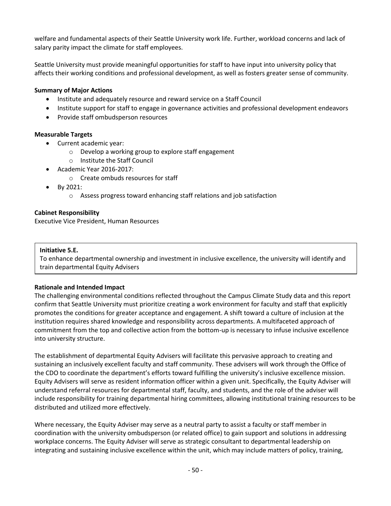welfare and fundamental aspects of their Seattle University work life. Further, workload concerns and lack of salary parity impact the climate for staff employees.

Seattle University must provide meaningful opportunities for staff to have input into university policy that affects their working conditions and professional development, as well as fosters greater sense of community.

# **Summary of Major Actions**

- Institute and adequately resource and reward service on a Staff Council
- Institute support for staff to engage in governance activities and professional development endeavors
- Provide staff ombudsperson resources

## **Measurable Targets**

- Current academic year:
	- o Develop a working group to explore staff engagement
	- o Institute the Staff Council
	- Academic Year 2016-2017:
		- o Create ombuds resources for staff
- By 2021:
	- o Assess progress toward enhancing staff relations and job satisfaction

## **Cabinet Responsibility**

Executive Vice President, Human Resources

## **Initiative 5.E.**

To enhance departmental ownership and investment in inclusive excellence, the university will identify and train departmental Equity Advisers

## **Rationale and Intended Impact**

The challenging environmental conditions reflected throughout the Campus Climate Study data and this report confirm that Seattle University must prioritize creating a work environment for faculty and staff that explicitly promotes the conditions for greater acceptance and engagement. A shift toward a culture of inclusion at the institution requires shared knowledge and responsibility across departments. A multifaceted approach of commitment from the top and collective action from the bottom-up is necessary to infuse inclusive excellence into university structure.

The establishment of departmental Equity Advisers will facilitate this pervasive approach to creating and sustaining an inclusively excellent faculty and staff community. These advisers will work through the Office of the CDO to coordinate the department's efforts toward fulfilling the university's inclusive excellence mission. Equity Advisers will serve as resident information officer within a given unit. Specifically, the Equity Adviser will understand referral resources for departmental staff, faculty, and students, and the role of the adviser will include responsibility for training departmental hiring committees, allowing institutional training resources to be distributed and utilized more effectively.

Where necessary, the Equity Adviser may serve as a neutral party to assist a faculty or staff member in coordination with the university ombudsperson (or related office) to gain support and solutions in addressing workplace concerns. The Equity Adviser will serve as strategic consultant to departmental leadership on integrating and sustaining inclusive excellence within the unit, which may include matters of policy, training,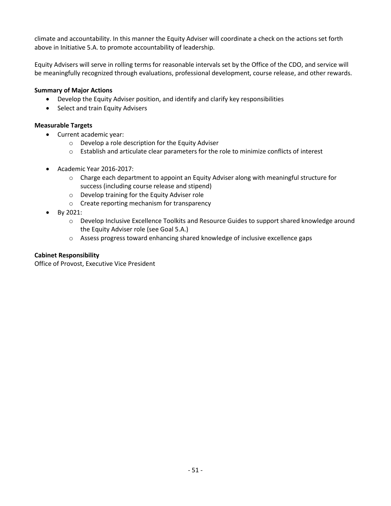climate and accountability. In this manner the Equity Adviser will coordinate a check on the actions set forth above in Initiative 5.A. to promote accountability of leadership.

Equity Advisers will serve in rolling terms for reasonable intervals set by the Office of the CDO, and service will be meaningfully recognized through evaluations, professional development, course release, and other rewards.

## **Summary of Major Actions**

- Develop the Equity Adviser position, and identify and clarify key responsibilities
- Select and train Equity Advisers

## **Measurable Targets**

- Current academic year:
	- o Develop a role description for the Equity Adviser
	- o Establish and articulate clear parameters for the role to minimize conflicts of interest
- Academic Year 2016-2017:
	- $\circ$  Charge each department to appoint an Equity Adviser along with meaningful structure for success (including course release and stipend)
	- o Develop training for the Equity Adviser role
	- o Create reporting mechanism for transparency
- By 2021:
	- o Develop Inclusive Excellence Toolkits and Resource Guides to support shared knowledge around the Equity Adviser role (see Goal 5.A.)
	- o Assess progress toward enhancing shared knowledge of inclusive excellence gaps

# **Cabinet Responsibility**

Office of Provost, Executive Vice President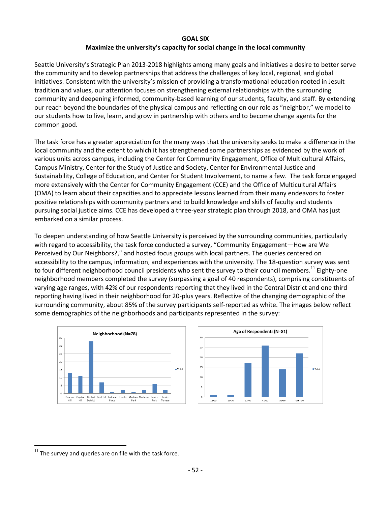#### **GOAL SIX**

# **Maximize the university's capacity for social change in the local community**

Seattle University's Strategic Plan 2013-2018 highlights among many goals and initiatives a desire to better serve the community and to develop partnerships that address the challenges of key local, regional, and global initiatives. Consistent with the university's mission of providing a transformational education rooted in Jesuit tradition and values, our attention focuses on strengthening external relationships with the surrounding community and deepening informed, community-based learning of our students, faculty, and staff. By extending our reach beyond the boundaries of the physical campus and reflecting on our role as "neighbor," we model to our students how to live, learn, and grow in partnership with others and to become change agents for the common good.

The task force has a greater appreciation for the many ways that the university seeks to make a difference in the local community and the extent to which it has strengthened some partnerships as evidenced by the work of various units across campus, including the Center for Community Engagement, Office of Multicultural Affairs, Campus Ministry, Center for the Study of Justice and Society, Center for Environmental Justice and Sustainability, College of Education, and Center for Student Involvement, to name a few. The task force engaged more extensively with the Center for Community Engagement (CCE) and the Office of Multicultural Affairs (OMA) to learn about their capacities and to appreciate lessons learned from their many endeavors to foster positive relationships with community partners and to build knowledge and skills of faculty and students pursuing social justice aims. CCE has developed a three-year strategic plan through 2018, and OMA has just embarked on a similar process.

To deepen understanding of how Seattle University is perceived by the surrounding communities, particularly with regard to accessibility, the task force conducted a survey, "Community Engagement—How are We Perceived by Our Neighbors?," and hosted focus groups with local partners. The queries centered on accessibility to the campus, information, and experiences with the university. The 18-question survey was sent to four different neighborhood council presidents who sent the survey to their council members.<sup>11</sup> Eighty-one neighborhood members completed the survey (surpassing a goal of 40 respondents), comprising constituents of varying age ranges, with 42% of our respondents reporting that they lived in the Central District and one third reporting having lived in their neighborhood for 20-plus years. Reflective of the changing demographic of the surrounding community, about 85% of the survey participants self-reported as white. The images below reflect some demographics of the neighborhoods and participants represented in the survey:



 $\overline{a}$ 

 $11$  The survey and queries are on file with the task force.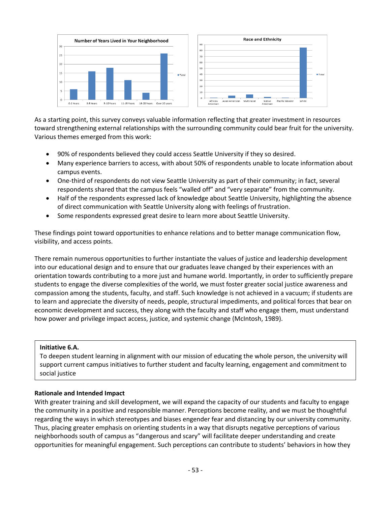

As a starting point, this survey conveys valuable information reflecting that greater investment in resources toward strengthening external relationships with the surrounding community could bear fruit for the university. Various themes emerged from this work:

- 90% of respondents believed they could access Seattle University if they so desired.
- Many experience barriers to access, with about 50% of respondents unable to locate information about campus events.
- One-third of respondents do not view Seattle University as part of their community; in fact, several respondents shared that the campus feels "walled off" and "very separate" from the community.
- Half of the respondents expressed lack of knowledge about Seattle University, highlighting the absence of direct communication with Seattle University along with feelings of frustration.
- Some respondents expressed great desire to learn more about Seattle University.

These findings point toward opportunities to enhance relations and to better manage communication flow, visibility, and access points.

There remain numerous opportunities to further instantiate the values of justice and leadership development into our educational design and to ensure that our graduates leave changed by their experiences with an orientation towards contributing to a more just and humane world. Importantly, in order to sufficiently prepare students to engage the diverse complexities of the world, we must foster greater social justice awareness and compassion among the students, faculty, and staff. Such knowledge is not achieved in a vacuum; if students are to learn and appreciate the diversity of needs, people, structural impediments, and political forces that bear on economic development and success, they along with the faculty and staff who engage them, must understand how power and privilege impact access, justice, and systemic change (McIntosh, 1989).

## **Initiative 6.A.**

To deepen student learning in alignment with our mission of educating the whole person, the university will support current campus initiatives to further student and faculty learning, engagement and commitment to social justice

## **Rationale and Intended Impact**

With greater training and skill development, we will expand the capacity of our students and faculty to engage the community in a positive and responsible manner. Perceptions become reality, and we must be thoughtful regarding the ways in which stereotypes and biases engender fear and distancing by our university community. Thus, placing greater emphasis on orienting students in a way that disrupts negative perceptions of various neighborhoods south of campus as "dangerous and scary" will facilitate deeper understanding and create opportunities for meaningful engagement. Such perceptions can contribute to students' behaviors in how they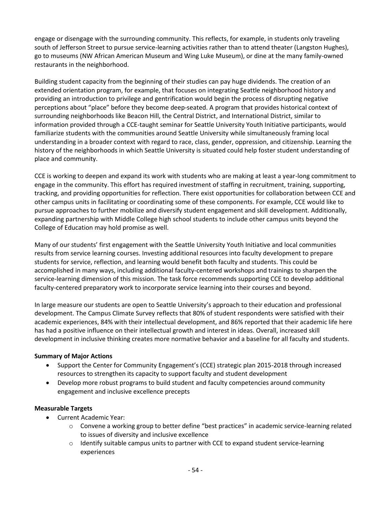engage or disengage with the surrounding community. This reflects, for example, in students only traveling south of Jefferson Street to pursue service-learning activities rather than to attend theater (Langston Hughes), go to museums (NW African American Museum and Wing Luke Museum), or dine at the many family-owned restaurants in the neighborhood.

Building student capacity from the beginning of their studies can pay huge dividends. The creation of an extended orientation program, for example, that focuses on integrating Seattle neighborhood history and providing an introduction to privilege and gentrification would begin the process of disrupting negative perceptions about "place" before they become deep-seated. A program that provides historical context of surrounding neighborhoods like Beacon Hill, the Central District, and International District, similar to information provided through a CCE-taught seminar for Seattle University Youth Initiative participants, would familiarize students with the communities around Seattle University while simultaneously framing local understanding in a broader context with regard to race, class, gender, oppression, and citizenship. Learning the history of the neighborhoods in which Seattle University is situated could help foster student understanding of place and community.

CCE is working to deepen and expand its work with students who are making at least a year-long commitment to engage in the community. This effort has required investment of staffing in recruitment, training, supporting, tracking, and providing opportunities for reflection. There exist opportunities for collaboration between CCE and other campus units in facilitating or coordinating some of these components. For example, CCE would like to pursue approaches to further mobilize and diversify student engagement and skill development. Additionally, expanding partnership with Middle College high school students to include other campus units beyond the College of Education may hold promise as well.

Many of our students' first engagement with the Seattle University Youth Initiative and local communities results from service learning courses. Investing additional resources into faculty development to prepare students for service, reflection, and learning would benefit both faculty and students. This could be accomplished in many ways, including additional faculty-centered workshops and trainings to sharpen the service-learning dimension of this mission. The task force recommends supporting CCE to develop additional faculty-centered preparatory work to incorporate service learning into their courses and beyond.

In large measure our students are open to Seattle University's approach to their education and professional development. The Campus Climate Survey reflects that 80% of student respondents were satisfied with their academic experiences, 84% with their intellectual development, and 86% reported that their academic life here has had a positive influence on their intellectual growth and interest in ideas. Overall, increased skill development in inclusive thinking creates more normative behavior and a baseline for all faculty and students.

# **Summary of Major Actions**

- Support the Center for Community Engagement's (CCE) strategic plan 2015-2018 through increased resources to strengthen its capacity to support faculty and student development
- Develop more robust programs to build student and faculty competencies around community engagement and inclusive excellence precepts

## **Measurable Targets**

- Current Academic Year:
	- $\circ$  Convene a working group to better define "best practices" in academic service-learning related to issues of diversity and inclusive excellence
	- $\circ$  Identify suitable campus units to partner with CCE to expand student service-learning experiences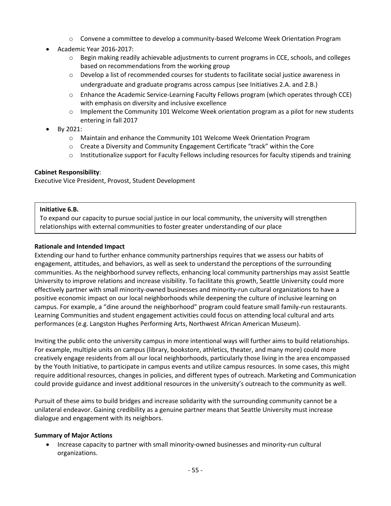- $\circ$  Convene a committee to develop a community-based Welcome Week Orientation Program
- Academic Year 2016-2017:
	- $\circ$  Begin making readily achievable adjustments to current programs in CCE, schools, and colleges based on recommendations from the working group
	- $\circ$  Develop a list of recommended courses for students to facilitate social justice awareness in undergraduate and graduate programs across campus (see Initiatives 2.A. and 2.B.)
	- o Enhance the Academic Service-Learning Faculty Fellows program (which operates through CCE) with emphasis on diversity and inclusive excellence
	- $\circ$  Implement the Community 101 Welcome Week orientation program as a pilot for new students entering in fall 2017
- By 2021:
	- o Maintain and enhance the Community 101 Welcome Week Orientation Program
	- $\circ$  Create a Diversity and Community Engagement Certificate "track" within the Core
	- o Institutionalize support for Faculty Fellows including resources for faculty stipends and training

## **Cabinet Responsibility**:

Executive Vice President, Provost, Student Development

## **Initiative 6.B.**

To expand our capacity to pursue social justice in our local community, the university will strengthen relationships with external communities to foster greater understanding of our place

## **Rationale and Intended Impact**

Extending our hand to further enhance community partnerships requires that we assess our habits of engagement, attitudes, and behaviors, as well as seek to understand the perceptions of the surrounding communities. As the neighborhood survey reflects, enhancing local community partnerships may assist Seattle University to improve relations and increase visibility. To facilitate this growth, Seattle University could more effectively partner with small minority-owned businesses and minority-run cultural organizations to have a positive economic impact on our local neighborhoods while deepening the culture of inclusive learning on campus. For example, a "dine around the neighborhood" program could feature small family-run restaurants. Learning Communities and student engagement activities could focus on attending local cultural and arts performances (e.g. Langston Hughes Performing Arts, Northwest African American Museum).

Inviting the public onto the university campus in more intentional ways will further aims to build relationships. For example, multiple units on campus (library, bookstore, athletics, theater, and many more) could more creatively engage residents from all our local neighborhoods, particularly those living in the area encompassed by the Youth Initiative, to participate in campus events and utilize campus resources. In some cases, this might require additional resources, changes in policies, and different types of outreach. Marketing and Communication could provide guidance and invest additional resources in the university's outreach to the community as well.

Pursuit of these aims to build bridges and increase solidarity with the surrounding community cannot be a unilateral endeavor. Gaining credibility as a genuine partner means that Seattle University must increase dialogue and engagement with its neighbors.

## **Summary of Major Actions**

 Increase capacity to partner with small minority-owned businesses and minority-run cultural organizations.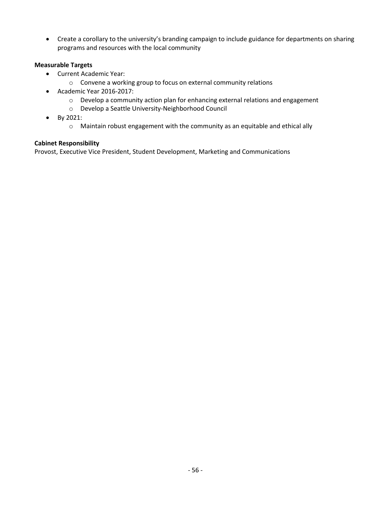Create a corollary to the university's branding campaign to include guidance for departments on sharing programs and resources with the local community

## **Measurable Targets**

- Current Academic Year:
	- o Convene a working group to focus on external community relations
- Academic Year 2016-2017:
	- o Develop a community action plan for enhancing external relations and engagement
	- o Develop a Seattle University-Neighborhood Council
- By 2021:
	- o Maintain robust engagement with the community as an equitable and ethical ally

## **Cabinet Responsibility**

Provost, Executive Vice President, Student Development, Marketing and Communications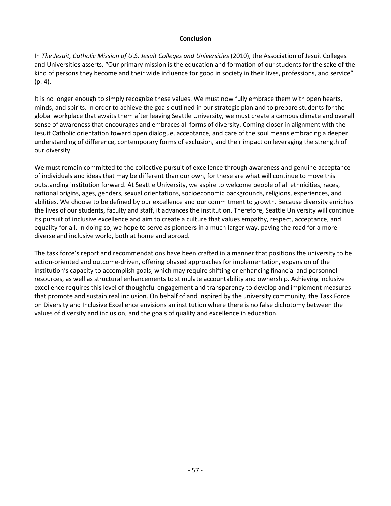#### **Conclusion**

In *The Jesuit, Catholic Mission of U.S. Jesuit Colleges and Universities* (2010), the Association of Jesuit Colleges and Universities asserts, "Our primary mission is the education and formation of our students for the sake of the kind of persons they become and their wide influence for good in society in their lives, professions, and service" (p. 4).

It is no longer enough to simply recognize these values. We must now fully embrace them with open hearts, minds, and spirits. In order to achieve the goals outlined in our strategic plan and to prepare students for the global workplace that awaits them after leaving Seattle University, we must create a campus climate and overall sense of awareness that encourages and embraces all forms of diversity. Coming closer in alignment with the Jesuit Catholic orientation toward open dialogue, acceptance, and care of the soul means embracing a deeper understanding of difference, contemporary forms of exclusion, and their impact on leveraging the strength of our diversity.

We must remain committed to the collective pursuit of excellence through awareness and genuine acceptance of individuals and ideas that may be different than our own, for these are what will continue to move this outstanding institution forward. At Seattle University, we aspire to welcome people of all ethnicities, races, national origins, ages, genders, sexual orientations, socioeconomic backgrounds, religions, experiences, and abilities. We choose to be defined by our excellence and our commitment to growth. Because diversity enriches the lives of our students, faculty and staff, it advances the institution. Therefore, Seattle University will continue its pursuit of inclusive excellence and aim to create a culture that values empathy, respect, acceptance, and equality for all. In doing so, we hope to serve as pioneers in a much larger way, paving the road for a more diverse and inclusive world, both at home and abroad.

The task force's report and recommendations have been crafted in a manner that positions the university to be action-oriented and outcome-driven, offering phased approaches for implementation, expansion of the institution's capacity to accomplish goals, which may require shifting or enhancing financial and personnel resources, as well as structural enhancements to stimulate accountability and ownership. Achieving inclusive excellence requires this level of thoughtful engagement and transparency to develop and implement measures that promote and sustain real inclusion. On behalf of and inspired by the university community, the Task Force on Diversity and Inclusive Excellence envisions an institution where there is no false dichotomy between the values of diversity and inclusion, and the goals of quality and excellence in education.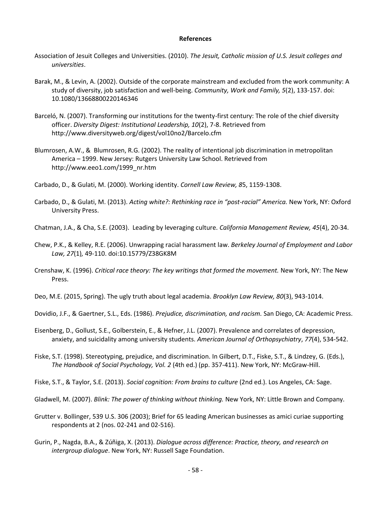#### **References**

- Association of Jesuit Colleges and Universities. (2010). *The Jesuit, Catholic mission of U.S. Jesuit colleges and universities*.
- Barak, M., & Levin, A. (2002). Outside of the corporate mainstream and excluded from the work community: A study of diversity, job satisfaction and well-being. *Community, Work and Family, 5*(2), 133-157. doi: 10.1080/13668800220146346
- Barceló, N. (2007). Transforming our institutions for the twenty-first century: The role of the chief diversity officer. *Diversity Digest: Institutional Leadership, 10*(2), 7-8. Retrieved from http://www.diversityweb.org/digest/vol10no2/Barcelo.cfm
- Blumrosen, A.W., & Blumrosen, R.G. (2002). The reality of intentional job discrimination in metropolitan America – 1999. New Jersey: Rutgers University Law School. Retrieved from http://www.eeo1.com/1999\_nr.htm
- Carbado, D., & Gulati, M. (2000). Working identity. *Cornell Law Review, 8*5, 1159-1308.
- Carbado, D., & Gulati, M. (2013). *Acting white?: Rethinking race in "post-racial" America.* New York, NY: Oxford University Press.
- Chatman, J.A., & Cha, S.E. (2003). Leading by leveraging culture. *California Management Review, 45*(4), 20-34.
- Chew, P.K., & Kelley, R.E. (2006). Unwrapping racial harassment law. *Berkeley Journal of Employment and Labor Law, 27*(1)*,* 49-110. doi:10.15779/Z38GK8M
- Crenshaw, K. (1996). *Critical race theory: The key writings that formed the movement.* New York, NY: The New Press.
- Deo, M.E. (2015, Spring). The ugly truth about legal academia. *Brooklyn Law Review, 80*(3), 943-1014.
- Dovidio, J.F., & Gaertner, S.L., Eds. (1986). *Prejudice, discrimination, and racism.* San Diego, CA: Academic Press.
- Eisenberg, D., Gollust, S.E., Golberstein, E., & Hefner, J.L. (2007). Prevalence and correlates of depression, anxiety, and suicidality among university students. *American Journal of Orthopsychiatry*, *77*(4), 534-542.
- Fiske, S.T. (1998). Stereotyping, prejudice, and discrimination. In Gilbert, D.T., Fiske, S.T., & Lindzey, G. (Eds.), *The Handbook of Social Psychology, Vol. 2* (4th ed.) (pp. 357-411). New York, NY: McGraw-Hill.
- Fiske, S.T., & Taylor, S.E. (2013). *Social cognition: From brains to culture* (2nd ed.). Los Angeles, CA: Sage.
- Gladwell, M. (2007). *Blink: The power of thinking without thinking.* New York, NY: Little Brown and Company.
- Grutter v. Bollinger, 539 U.S. 306 (2003); Brief for 65 leading American businesses as amici curiae supporting respondents at 2 (nos. 02-241 and 02-516).
- Gurin, P., Nagda, B.A., & Zúñiga, X. (2013). *Dialogue across difference: Practice, theory, and research on intergroup dialogue*. New York, NY: Russell Sage Foundation.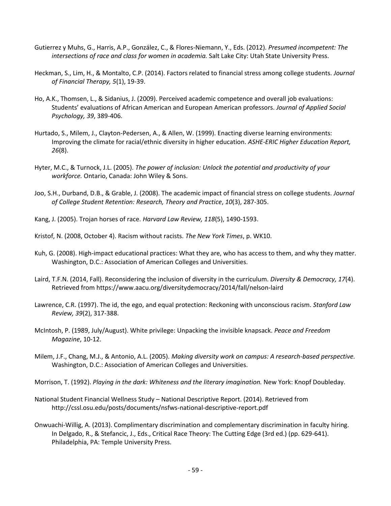- Gutierrez y Muhs, G., Harris, A.P., González, C., & Flores-Niemann, Y., Eds. (2012). *Presumed incompetent: The intersections of race and class for women in academia.* Salt Lake City: Utah State University Press.
- Heckman, S., Lim, H., & Montalto, C.P. (2014). Factors related to financial stress among college students. *Journal of Financial Therapy, 5*(1), 19-39.
- Ho, A.K., Thomsen, L., & Sidanius, J. (2009). Perceived academic competence and overall job evaluations: Students' evaluations of African American and European American professors. *Journal of Applied Social Psychology, 39*, 389-406.
- Hurtado, S., Milem, J., Clayton-Pedersen, A., & Allen, W. (1999). Enacting diverse learning environments: Improving the climate for racial/ethnic diversity in higher education. *ASHE-ERIC Higher Education Report, 26*(8).
- Hyter, M.C., & Turnock, J.L. (2005). *The power of inclusion: Unlock the potential and productivity of your workforce.* Ontario, Canada: John Wiley & Sons.
- Joo, S.H., Durband, D.B., & Grable, J. (2008). The academic impact of financial stress on college students. *Journal of College Student Retention: Research, Theory and Practice*, *10*(3), 287-305.
- Kang, J. (2005). Trojan horses of race. *Harvard Law Review, 118*(5), 1490-1593.
- Kristof, N. (2008, October 4). Racism without racists. *The New York Times*, p. WK10.
- Kuh, G. (2008). High-impact educational practices: What they are, who has access to them, and why they matter. Washington, D.C.: Association of American Colleges and Universities.
- Laird, T.F.N. (2014, Fall). Reconsidering the inclusion of diversity in the curriculum. *Diversity & Democracy, 17*(4). Retrieved from https://www.aacu.org/diversitydemocracy/2014/fall/nelson-laird
- Lawrence, C.R. (1997). The id, the ego, and equal protection: Reckoning with unconscious racism. *Stanford Law Review, 39*(2), 317-388.
- McIntosh, P. (1989, July/August). White privilege: Unpacking the invisible knapsack. *Peace and Freedom Magazine*, 10-12.
- Milem, J.F., Chang, M.J., & Antonio, A.L. (2005). *Making diversity work on campus: A research-based perspective.* Washington, D.C.: Association of American Colleges and Universities.
- Morrison, T. (1992). *Playing in the dark: Whiteness and the literary imagination.* New York: Knopf Doubleday.
- National Student Financial Wellness Study National Descriptive Report. (2014). Retrieved from http://cssl.osu.edu/posts/documents/nsfws-national-descriptive-report.pdf
- Onwuachi-Willig, A. (2013). Complimentary discrimination and complementary discrimination in faculty hiring. In Delgado, R., & Stefancic, J., Eds., Critical Race Theory: The Cutting Edge (3rd ed.) (pp. 629-641). Philadelphia, PA: Temple University Press.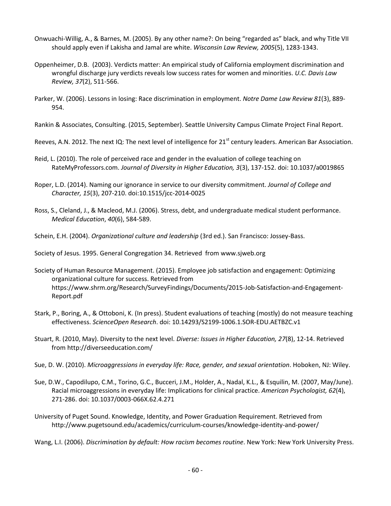- Onwuachi-Willig, A., & Barnes, M. (2005). By any other name?: On being "regarded as" black, and why Title VII should apply even if Lakisha and Jamal are white. *Wisconsin Law Review, 2005*(5), 1283-1343.
- Oppenheimer, D.B. (2003). Verdicts matter: An empirical study of California employment discrimination and wrongful discharge jury verdicts reveals low success rates for women and minorities. *U.C. Davis Law Review, 37*(2), 511-566.
- Parker, W. (2006). Lessons in losing: Race discrimination in employment. *Notre Dame Law Review 81*(3), 889- 954.

Rankin & Associates, Consulting. (2015, September). Seattle University Campus Climate Project Final Report.

Reeves, A.N. 2012. The next IQ: The next level of intelligence for  $21^{st}$  century leaders. American Bar Association.

- Reid, L. (2010). The role of perceived race and gender in the evaluation of college teaching on RateMyProfessors.com. *Journal of Diversity in Higher Education, 3*(3), 137-152. doi: 10.1037/a0019865
- Roper, L.D. (2014). Naming our ignorance in service to our diversity commitment. *Journal of College and Character, 15*(3), 207-210. doi:10.1515/jcc-2014-0025
- Ross, S., Cleland, J., & Macleod, M.J. (2006). Stress, debt, and undergraduate medical student performance. *Medical Education*, *40*(6), 584-589.
- Schein, E.H. (2004). *Organizational culture and leadership* (3rd ed.). San Francisco: Jossey-Bass.

Society of Jesus. 1995. General Congregation 34. Retrieved from www.sjweb.org

Society of Human Resource Management. (2015). Employee job satisfaction and engagement: Optimizing organizational culture for success. Retrieved from https://www.shrm.org/Research/SurveyFindings/Documents/2015-Job-Satisfaction-and-Engagement-Report.pdf

- Stark, P., Boring, A., & Ottoboni, K. (In press). Student evaluations of teaching (mostly) do not measure teaching effectiveness. *ScienceOpen Research*. doi: 10.14293/S2199-1006.1.SOR-EDU.AETBZC.v1
- Stuart, R. (2010, May). Diversity to the next level. *Diverse: Issues in Higher Education, 27*(8), 12-14. Retrieved from http://diverseeducation.com/
- Sue, D. W. (2010). *Microaggressions in everyday life: Race, gender, and sexual orientation*. Hoboken, NJ: Wiley.
- Sue, D.W., Capodilupo, C.M., Torino, G.C., Bucceri, J.M., Holder, A., Nadal, K.L., & Esquilin, M. (2007, May/June). Racial microaggressions in everyday life: Implications for clinical practice. *American Psychologist, 62*(4), 271-286. doi: 10.1037/0003-066X.62.4.271
- University of Puget Sound. Knowledge, Identity, and Power Graduation Requirement. Retrieved from http://www.pugetsound.edu/academics/curriculum-courses/knowledge-identity-and-power/

Wang, L.I. (2006). *Discrimination by default: How racism becomes routine*. New York: New York University Press.